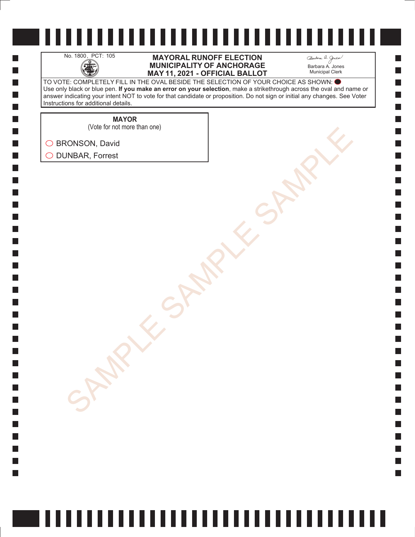H

 $\Box$  $\Box$  $\mathcal{L}_{\mathcal{A}}$  $\Box$ 

#### No. 1800, PCT: 105 **MAYORAL RUNOFF ELECTION**<br>MUNICIPALITY OF ANCHORAGE<br>MAY 11. 2021 - OFFICIAL BALLO **MUNICIPALITY OF ANCHORAGE MAY 11, 2021 - OFFICIAL BALLOT**

Barbara A. Jones Municipal Clerk

**College** 

TO VOTE: COMPLETELY FILL IN THE OVAL BESIDE THE SELECTION OF YOUR CHOICE AS SHOWN: Use only black or blue pen. **If you make an error on your selection**, make a strikethrough across the oval and name or answer indicating your intent NOT to vote for that candidate or proposition. Do not sign or initial any changes. See Voter Instructions for additional details.

**MAYOR**

SONSON, David<br>AMBAR, Forrest<br>SAMPLE SAMPLE SAMPLE SAMPLE (Vote for not more than one)

◯ BRONSON, David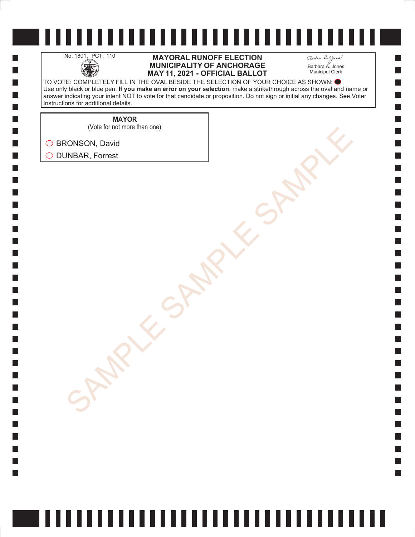H

 $\Box$  $\Box$  $\mathcal{L}_{\mathcal{A}}$  $\Box$  No. 1801, PCT: 110 **MAYORAL RUNOFF ELECTION**<br>MUNICIPALITY OF ANCHORAGE<br>MAY 11, 2021 - OFFICIAL BALLO **MUNICIPALITY OF ANCHORAGE MAY 11, 2021 - OFFICIAL BALLOT** Barbara A. Jones Municipal Clerk

**College** 

TO VOTE: COMPLETELY FILL IN THE OVAL BESIDE THE SELECTION OF YOUR CHOICE AS SHOWN: Use only black or blue pen. **If you make an error on your selection**, make a strikethrough across the oval and name or answer indicating your intent NOT to vote for that candidate or proposition. Do not sign or initial any changes. See Voter Instructions for additional details.

**MAYOR**

(Vote for not more than one)

SONSON, David<br>AMBAR, Forrest<br>SAMPLE SAMPLE SAMPLE SAMPLE ◯ BRONSON, David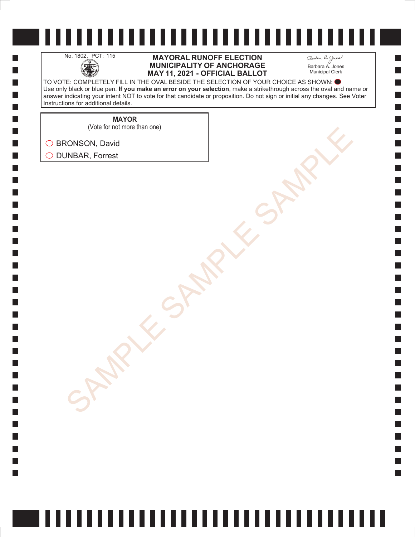H

 $\Box$  $\Box$  $\mathcal{L}_{\mathcal{A}}$  $\Box$ 

#### No. 1802, PCT: 115 **MAYORAL RUNOFF ELECTION**<br>MUNICIPALITY OF ANCHORAGE<br>MAY 11. 2021 - OFFICIAL BALLO **MUNICIPALITY OF ANCHORAGE MAY 11, 2021 - OFFICIAL BALLOT**

Barbara A. Jones Municipal Clerk

**College** 

TO VOTE: COMPLETELY FILL IN THE OVAL BESIDE THE SELECTION OF YOUR CHOICE AS SHOWN: Use only black or blue pen. **If you make an error on your selection**, make a strikethrough across the oval and name or answer indicating your intent NOT to vote for that candidate or proposition. Do not sign or initial any changes. See Voter Instructions for additional details.

**MAYOR**

SONSON, David<br>AMBAR, Forrest<br>SAMPLE SAMPLE SAMPLE SAMPLE (Vote for not more than one)

◯ BRONSON, David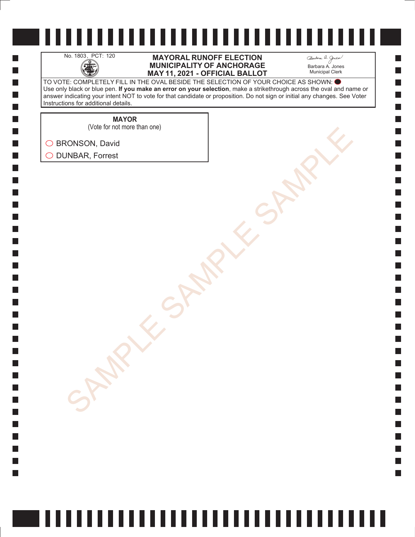H

 $\Box$  $\Box$  $\mathcal{L}_{\mathcal{A}}$  $\Box$ 

#### No. 1803, PCT: 120 **MAYORAL RUNOFF ELECTION**<br> **MUNICIPALITY OF ANCHORAGE**<br>
MAY 11. 2021 - OFFICIAL BALLO **MUNICIPALITY OF ANCHORAGE MAY 11, 2021 - OFFICIAL BALLOT**

Barbara A. Jones Municipal Clerk

**College** 

TO VOTE: COMPLETELY FILL IN THE OVAL BESIDE THE SELECTION OF YOUR CHOICE AS SHOWN: Use only black or blue pen. **If you make an error on your selection**, make a strikethrough across the oval and name or answer indicating your intent NOT to vote for that candidate or proposition. Do not sign or initial any changes. See Voter Instructions for additional details.

**MAYOR**

SONSON, David<br>AMBAR, Forrest<br>SAMPLE SAMPLE SAMPLE SAMPLE (Vote for not more than one)

◯ BRONSON, David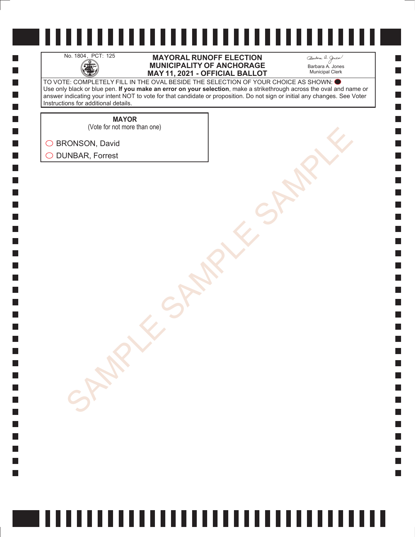H

 $\Box$  $\Box$  $\mathcal{L}_{\mathcal{A}}$  $\Box$ 

#### No. 1804, PCT: 125 **MAYORAL RUNOFF ELECTION**<br>MUNICIPALITY OF ANCHORAGE<br>MAY 11. 2021 - OFFICIAL BALLO **MUNICIPALITY OF ANCHORAGE MAY 11, 2021 - OFFICIAL BALLOT**

Barbara A. Jones Municipal Clerk

**College** 

TO VOTE: COMPLETELY FILL IN THE OVAL BESIDE THE SELECTION OF YOUR CHOICE AS SHOWN: Use only black or blue pen. **If you make an error on your selection**, make a strikethrough across the oval and name or answer indicating your intent NOT to vote for that candidate or proposition. Do not sign or initial any changes. See Voter Instructions for additional details.

**MAYOR**

SONSON, David<br>AMBAR, Forrest<br>SAMPLE SAMPLE SAMPLE SAMPLE (Vote for not more than one)

◯ BRONSON, David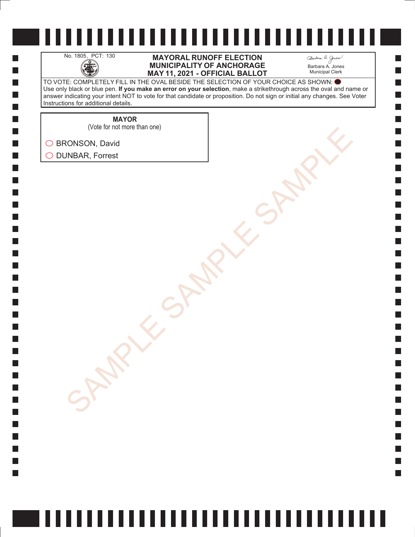H

 $\Box$  $\Box$  $\mathcal{L}_{\mathcal{A}}$  $\Box$ 

#### No. 1805, PCT: 130 **MAYORAL RUNOFF ELECTION**<br>MUNICIPALITY OF ANCHORAGE<br>MAY 11. 2021 - OFFICIAL BALLO **MUNICIPALITY OF ANCHORAGE MAY 11, 2021 - OFFICIAL BALLOT**

Barbara A. Jones Municipal Clerk

**College** 

TO VOTE: COMPLETELY FILL IN THE OVAL BESIDE THE SELECTION OF YOUR CHOICE AS SHOWN: Use only black or blue pen. **If you make an error on your selection**, make a strikethrough across the oval and name or answer indicating your intent NOT to vote for that candidate or proposition. Do not sign or initial any changes. See Voter Instructions for additional details.

**MAYOR**

SONSON, David<br>AMBAR, Forrest<br>SAMPLE SAMPLE SAMPLE SAMPLE (Vote for not more than one)

◯ BRONSON, David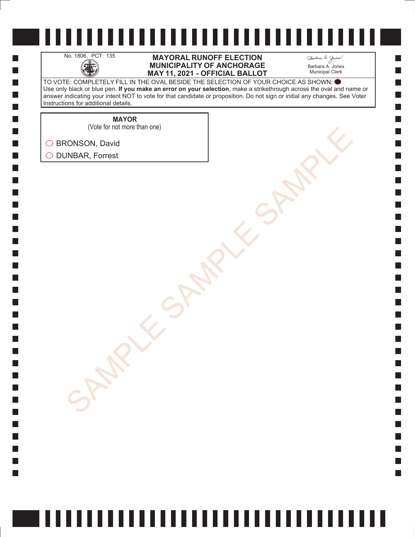H

 $\Box$  $\Box$  $\mathcal{L}_{\mathcal{A}}$  $\Box$ 

#### No. 1806, PCT: 135 **MAYORAL RUNOFF ELECTION**<br>MUNICIPALITY OF ANCHORAGE<br>MAY 11. 2021 - OFFICIAL BALLO **MUNICIPALITY OF ANCHORAGE MAY 11, 2021 - OFFICIAL BALLOT**

Barbara A. Jones Municipal Clerk

**College** 

TO VOTE: COMPLETELY FILL IN THE OVAL BESIDE THE SELECTION OF YOUR CHOICE AS SHOWN: Use only black or blue pen. **If you make an error on your selection**, make a strikethrough across the oval and name or answer indicating your intent NOT to vote for that candidate or proposition. Do not sign or initial any changes. See Voter Instructions for additional details.

**MAYOR**

SONSON, David<br>AMBAR, Forrest<br>SAMPLE SAMPLE SAMPLE SAMPLE (Vote for not more than one)

◯ BRONSON, David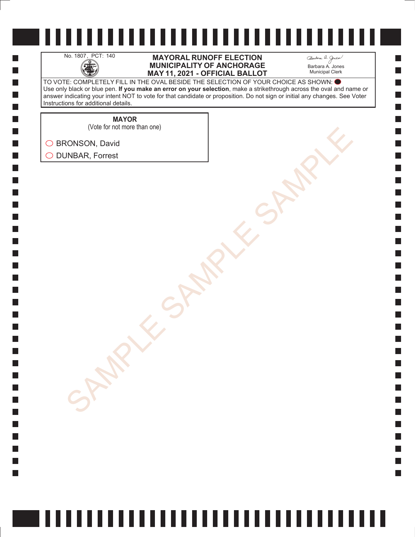H

 $\Box$  $\Box$  $\mathcal{L}_{\mathcal{A}}$  $\Box$ 

#### No. 1807, PCT: 140 **MAYORAL RUNOFF ELECTION**<br>MUNICIPALITY OF ANCHORAGE<br>MAY 11, 2021 - OFFICIAL BALLO **MUNICIPALITY OF ANCHORAGE MAY 11, 2021 - OFFICIAL BALLOT**

Barbara A. Jones Municipal Clerk

**College** 

TO VOTE: COMPLETELY FILL IN THE OVAL BESIDE THE SELECTION OF YOUR CHOICE AS SHOWN: Use only black or blue pen. **If you make an error on your selection**, make a strikethrough across the oval and name or answer indicating your intent NOT to vote for that candidate or proposition. Do not sign or initial any changes. See Voter Instructions for additional details.

**MAYOR**

SONSON, David<br>AMBAR, Forrest<br>SAMPLE SAMPLE SAMPLE SAMPLE (Vote for not more than one)

◯ BRONSON, David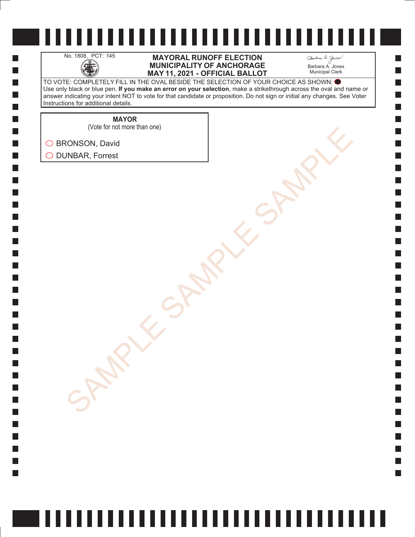H

 $\Box$  $\Box$  $\mathcal{L}_{\mathcal{A}}$  $\Box$ 

#### No. 1808, PCT: 145 **MAYORAL RUNOFF ELECTION**<br>MUNICIPALITY OF ANCHORAGE<br>MAY 11. 2021 - OFFICIAL BALLO **MUNICIPALITY OF ANCHORAGE MAY 11, 2021 - OFFICIAL BALLOT**

Barbara A. Jones Municipal Clerk

**College** 

TO VOTE: COMPLETELY FILL IN THE OVAL BESIDE THE SELECTION OF YOUR CHOICE AS SHOWN: Use only black or blue pen. **If you make an error on your selection**, make a strikethrough across the oval and name or answer indicating your intent NOT to vote for that candidate or proposition. Do not sign or initial any changes. See Voter Instructions for additional details.

**MAYOR**

SONSON, David<br>AMBAR, Forrest<br>SAMPLE SAMPLE SAMPLE SAMPLE (Vote for not more than one)

◯ BRONSON, David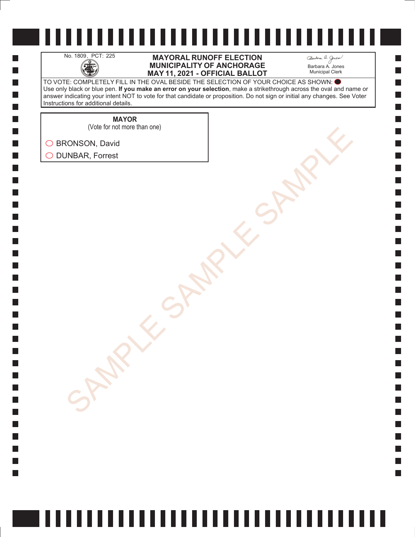H

 $\Box$  $\Box$  $\mathcal{L}_{\mathcal{A}}$  $\Box$ 

#### No. 1809, PCT: 225 **MAYORAL RUNOFF ELECTION**<br>MUNICIPALITY OF ANCHORAGE<br>MAY 11. 2021 - OFFICIAL BALLO **MUNICIPALITY OF ANCHORAGE MAY 11, 2021 - OFFICIAL BALLOT**

Barbara A. Jones Municipal Clerk

**College** 

TO VOTE: COMPLETELY FILL IN THE OVAL BESIDE THE SELECTION OF YOUR CHOICE AS SHOWN: Use only black or blue pen. **If you make an error on your selection**, make a strikethrough across the oval and name or answer indicating your intent NOT to vote for that candidate or proposition. Do not sign or initial any changes. See Voter Instructions for additional details.

**MAYOR**

(Vote for not more than one)

SONSON, David<br>AMBAR, Forrest<br>SAMPLE SAMPLE SAMPLE SAMPLE ◯ BRONSON, David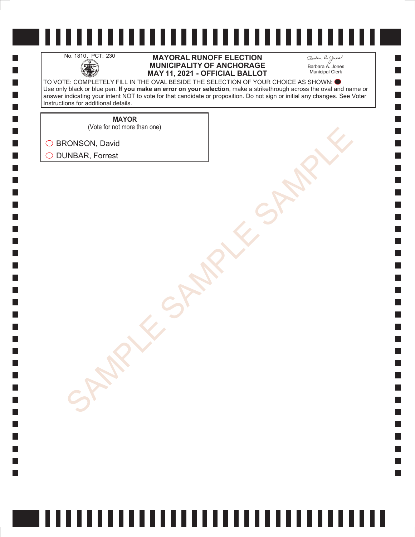H

 $\Box$  $\Box$  $\mathcal{L}_{\mathcal{A}}$  $\Box$ 

#### No. 1810, PCT: 230 **MAYORAL RUNOFF ELECTION**<br>MUNICIPALITY OF ANCHORAGE<br>MAY 11. 2021 - OFFICIAL BALLO **MUNICIPALITY OF ANCHORAGE MAY 11, 2021 - OFFICIAL BALLOT**

Barbara A. Jones Municipal Clerk

**College** 

TO VOTE: COMPLETELY FILL IN THE OVAL BESIDE THE SELECTION OF YOUR CHOICE AS SHOWN: Use only black or blue pen. **If you make an error on your selection**, make a strikethrough across the oval and name or answer indicating your intent NOT to vote for that candidate or proposition. Do not sign or initial any changes. See Voter Instructions for additional details.

**MAYOR**

SONSON, David<br>AMBAR, Forrest<br>SAMPLE SAMPLE SAMPLE SAMPLE (Vote for not more than one)

◯ BRONSON, David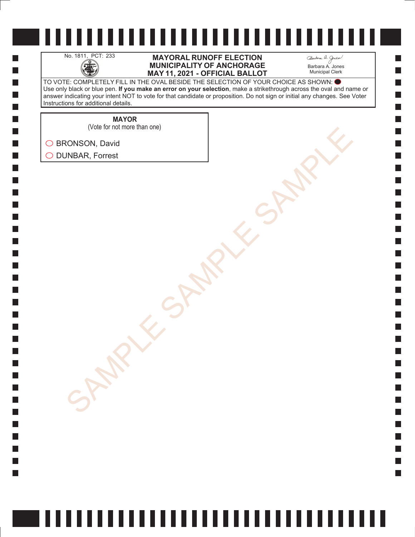H

 $\Box$  $\Box$  $\mathcal{L}_{\mathcal{A}}$  $\Box$ 

#### No. 1811, PCT: 233 **MAYORAL RUNOFF ELECTION**<br>MUNICIPALITY OF ANCHORAGE<br>MAY 11. 2021 - OFFICIAL BALLO **MUNICIPALITY OF ANCHORAGE MAY 11, 2021 - OFFICIAL BALLOT**

Barbara A. Jones Municipal Clerk

**College** 

TO VOTE: COMPLETELY FILL IN THE OVAL BESIDE THE SELECTION OF YOUR CHOICE AS SHOWN: Use only black or blue pen. **If you make an error on your selection**, make a strikethrough across the oval and name or answer indicating your intent NOT to vote for that candidate or proposition. Do not sign or initial any changes. See Voter Instructions for additional details.

**MAYOR**

(Vote for not more than one)

SONSON, David<br>AMBAR, Forrest<br>SAMPLE SAMPLE SAMPLE SAMPLE ◯ BRONSON, David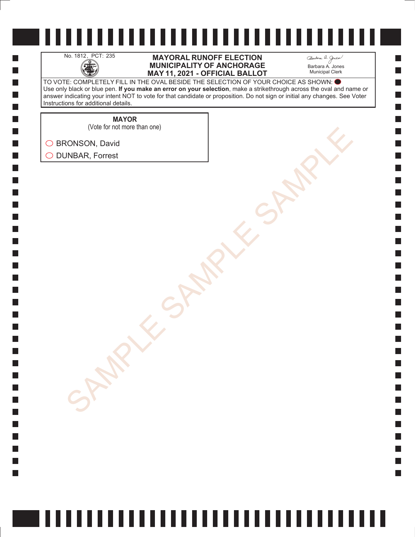H

 $\Box$  $\Box$  $\mathcal{L}_{\mathcal{A}}$  $\Box$ 

#### No. 1812, PCT: 235 **MAYORAL RUNOFF ELECTION**<br>MUNICIPALITY OF ANCHORAGE<br>MAY 11. 2021 - OFFICIAL BALLO **MUNICIPALITY OF ANCHORAGE MAY 11, 2021 - OFFICIAL BALLOT**

Barbara A. Jones Municipal Clerk

**College** 

TO VOTE: COMPLETELY FILL IN THE OVAL BESIDE THE SELECTION OF YOUR CHOICE AS SHOWN: Use only black or blue pen. **If you make an error on your selection**, make a strikethrough across the oval and name or answer indicating your intent NOT to vote for that candidate or proposition. Do not sign or initial any changes. See Voter Instructions for additional details.

**MAYOR**

(Vote for not more than one)

SONSON, David<br>AMBAR, Forrest<br>SAMPLE SAMPLE SAMPLE SAMPLE ◯ BRONSON, David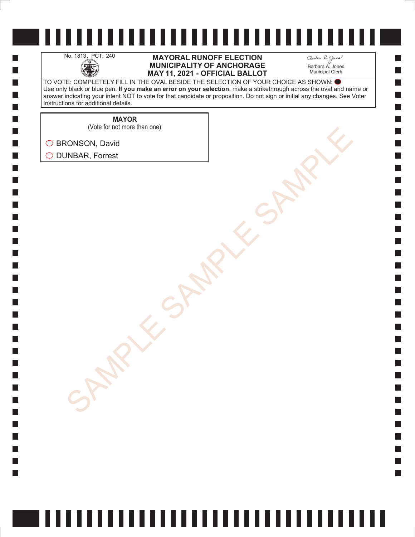H

 $\Box$  $\Box$  $\mathcal{L}_{\mathcal{A}}$  $\Box$ 

#### No. 1813, PCT: 240 **MAYORAL RUNOFF ELECTION**<br>MUNICIPALITY OF ANCHORAGE<br>MAY 11. 2021 - OFFICIAL BALLO **MUNICIPALITY OF ANCHORAGE MAY 11, 2021 - OFFICIAL BALLOT**

Barbara A. Jones Municipal Clerk

**College** 

TO VOTE: COMPLETELY FILL IN THE OVAL BESIDE THE SELECTION OF YOUR CHOICE AS SHOWN: Use only black or blue pen. **If you make an error on your selection**, make a strikethrough across the oval and name or answer indicating your intent NOT to vote for that candidate or proposition. Do not sign or initial any changes. See Voter Instructions for additional details.

**MAYOR**

SONSON, David<br>AMBAR, Forrest<br>SAMPLE SAMPLE SAMPLE SAMPLE (Vote for not more than one)

◯ BRONSON, David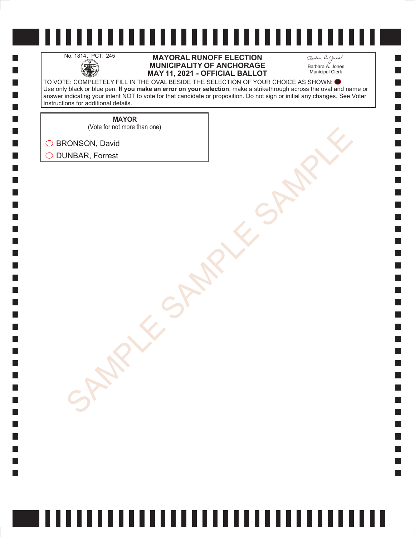H

 $\Box$  $\Box$  $\mathcal{L}_{\mathcal{A}}$  $\Box$ 

#### No. 1814, PCT: 245 **MAYORAL RUNOFF ELECTION**<br>MUNICIPALITY OF ANCHORAGE<br>MAY 11. 2021 - OFFICIAL BALLO **MUNICIPALITY OF ANCHORAGE MAY 11, 2021 - OFFICIAL BALLOT**

Barbara A. Jones Municipal Clerk

**College** 

TO VOTE: COMPLETELY FILL IN THE OVAL BESIDE THE SELECTION OF YOUR CHOICE AS SHOWN: Use only black or blue pen. **If you make an error on your selection**, make a strikethrough across the oval and name or answer indicating your intent NOT to vote for that candidate or proposition. Do not sign or initial any changes. See Voter Instructions for additional details.

**MAYOR**

SONSON, David<br>AMBAR, Forrest<br>SAMPLE SAMPLE SAMPLE SAMPLE (Vote for not more than one)

◯ BRONSON, David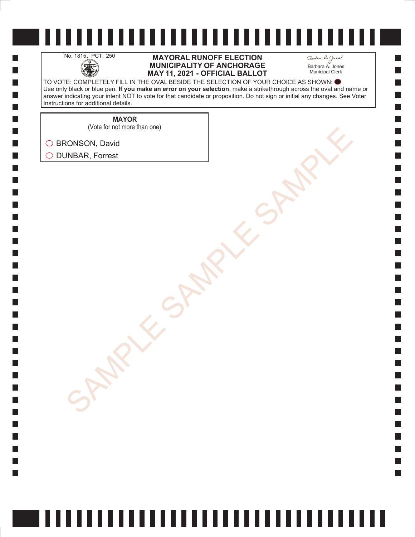H

 $\Box$  $\Box$  $\mathcal{L}_{\mathcal{A}}$  $\Box$ 

#### No. 1815, PCT: 250 **MAYORAL RUNOFF ELECTION**<br>MUNICIPALITY OF ANCHORAGE<br>MAY 11. 2021 - OFFICIAL BALLO **MUNICIPALITY OF ANCHORAGE MAY 11, 2021 - OFFICIAL BALLOT**

Barbara A. Jones Municipal Clerk

**College** 

TO VOTE: COMPLETELY FILL IN THE OVAL BESIDE THE SELECTION OF YOUR CHOICE AS SHOWN: Use only black or blue pen. **If you make an error on your selection**, make a strikethrough across the oval and name or answer indicating your intent NOT to vote for that candidate or proposition. Do not sign or initial any changes. See Voter Instructions for additional details.

> **MAYOR** (Vote for not more than one)

SONSON, David<br>AMBAR, Forrest<br>SAMPLE SAMPLE SAMPLE SAMPLE ◯ BRONSON, David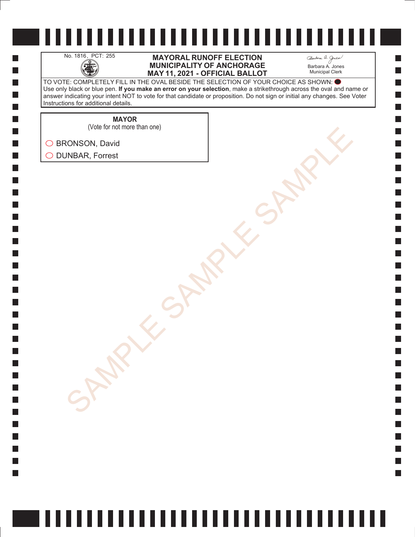H

 $\Box$  $\Box$  $\mathcal{L}_{\mathcal{A}}$  $\Box$ 

#### No. 1816, PCT: 255 **MAYORAL RUNOFF ELECTION**<br>MUNICIPALITY OF ANCHORAGE<br>MAY 11. 2021 - OFFICIAL BALLO **MUNICIPALITY OF ANCHORAGE MAY 11, 2021 - OFFICIAL BALLOT**

Barbara A. Jones Municipal Clerk

**College** 

TO VOTE: COMPLETELY FILL IN THE OVAL BESIDE THE SELECTION OF YOUR CHOICE AS SHOWN: Use only black or blue pen. **If you make an error on your selection**, make a strikethrough across the oval and name or answer indicating your intent NOT to vote for that candidate or proposition. Do not sign or initial any changes. See Voter Instructions for additional details.

> **MAYOR** (Vote for not more than one)

SONSON, David<br>AMBAR, Forrest<br>SAMPLE SAMPLE SAMPLE SAMPLE

◯ BRONSON, David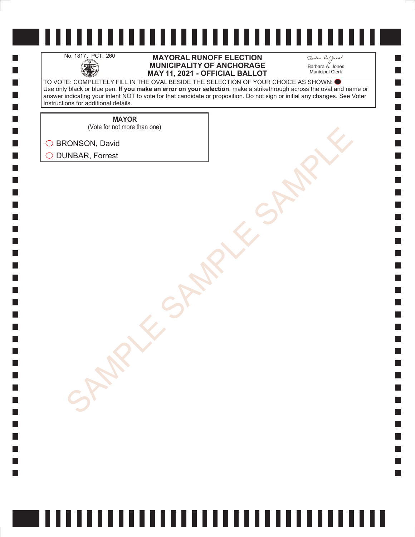H

 $\Box$  $\Box$  $\mathcal{L}_{\mathcal{A}}$  $\Box$ 

#### No. 1817, PCT: 260 **MAYORAL RUNOFF ELECTION**<br>MUNICIPALITY OF ANCHORAGE<br>MAY 11. 2021 - OFFICIAL BALLO **MUNICIPALITY OF ANCHORAGE MAY 11, 2021 - OFFICIAL BALLOT**

Barbara A. Jones Municipal Clerk

**College** 

TO VOTE: COMPLETELY FILL IN THE OVAL BESIDE THE SELECTION OF YOUR CHOICE AS SHOWN: Use only black or blue pen. **If you make an error on your selection**, make a strikethrough across the oval and name or answer indicating your intent NOT to vote for that candidate or proposition. Do not sign or initial any changes. See Voter Instructions for additional details.

**MAYOR**

SONSON, David<br>AMBAR, Forrest<br>SAMPLE SAMPLE SAMPLE SAMPLE (Vote for not more than one)

◯ BRONSON, David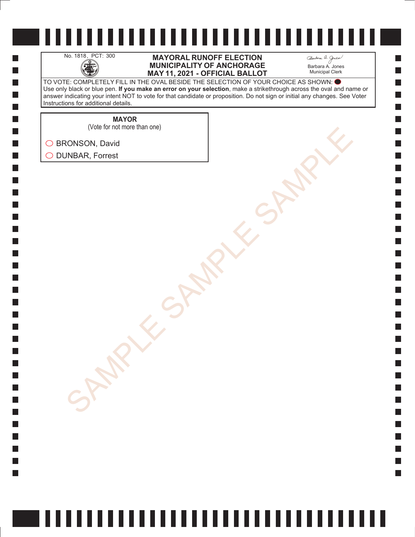H

 $\Box$  $\Box$  $\mathcal{L}_{\mathcal{A}}$  $\Box$ 

#### No. 1818, PCT: 300 **MAYORAL RUNOFF ELECTION**<br>MUNICIPALITY OF ANCHORAGE<br>MAY 11. 2021 - OFFICIAL BALLO **MUNICIPALITY OF ANCHORAGE MAY 11, 2021 - OFFICIAL BALLOT**

Barbara A. Jones Municipal Clerk

**College** 

TO VOTE: COMPLETELY FILL IN THE OVAL BESIDE THE SELECTION OF YOUR CHOICE AS SHOWN: Use only black or blue pen. **If you make an error on your selection**, make a strikethrough across the oval and name or answer indicating your intent NOT to vote for that candidate or proposition. Do not sign or initial any changes. See Voter Instructions for additional details.

> **MAYOR** (Vote for not more than one)

SONSON, David<br>AMBAR, Forrest<br>SAMPLE SAMPLE SAMPLE SAMPLE ◯ BRONSON, David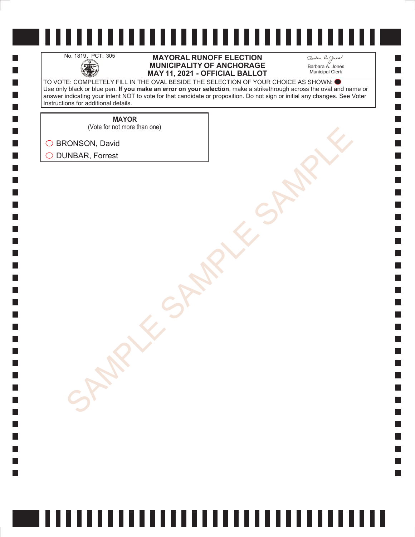H

 $\Box$  $\Box$  $\mathcal{L}_{\mathcal{A}}$  $\Box$ 

#### No. 1819, PCT: 305 **MAYORAL RUNOFF ELECTION**<br>MUNICIPALITY OF ANCHORAGE<br>MAY 11. 2021 - OFFICIAL BALLO **MUNICIPALITY OF ANCHORAGE MAY 11, 2021 - OFFICIAL BALLOT**

Barbara A. Jones Municipal Clerk

**College** 

TO VOTE: COMPLETELY FILL IN THE OVAL BESIDE THE SELECTION OF YOUR CHOICE AS SHOWN: Use only black or blue pen. **If you make an error on your selection**, make a strikethrough across the oval and name or answer indicating your intent NOT to vote for that candidate or proposition. Do not sign or initial any changes. See Voter Instructions for additional details.

**MAYOR**

SONSON, David<br>AMBAR, Forrest<br>SAMPLE SAMPLE SAMPLE SAMPLE (Vote for not more than one)

◯ BRONSON, David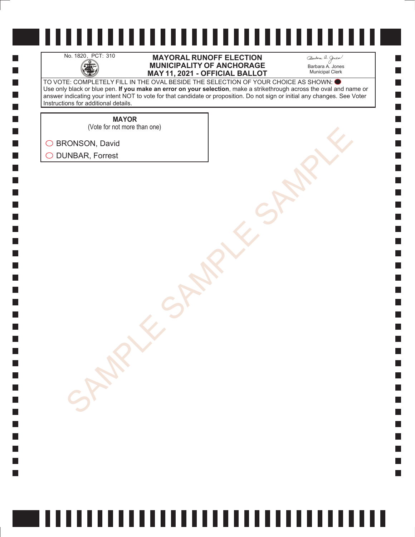H

 $\Box$  $\Box$  $\mathcal{L}_{\mathcal{A}}$  $\Box$ 

#### No. 1820, PCT: 310 **MAYORAL RUNOFF ELECTION**<br>MUNICIPALITY OF ANCHORAGE<br>MAY 11. 2021 - OFFICIAL BALLO **MUNICIPALITY OF ANCHORAGE MAY 11, 2021 - OFFICIAL BALLOT**

Barbara A. Jones Municipal Clerk

**College** 

TO VOTE: COMPLETELY FILL IN THE OVAL BESIDE THE SELECTION OF YOUR CHOICE AS SHOWN: Use only black or blue pen. **If you make an error on your selection**, make a strikethrough across the oval and name or answer indicating your intent NOT to vote for that candidate or proposition. Do not sign or initial any changes. See Voter Instructions for additional details.

> **MAYOR** (Vote for not more than one)

SONSON, David<br>AMBAR, Forrest<br>SAMPLE SAMPLE SAMPLE SAMPLE ◯ BRONSON, David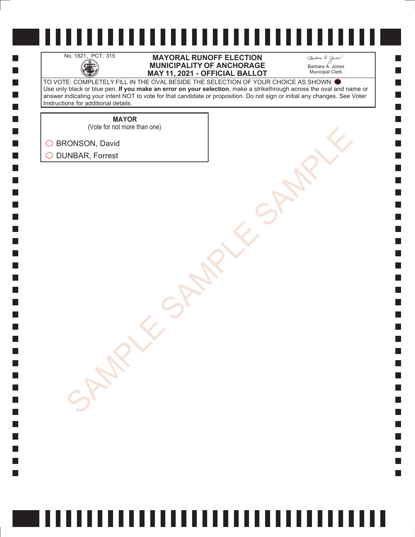H

 $\Box$  $\Box$  $\mathcal{L}_{\mathcal{A}}$  $\Box$  No. 1821, PCT: 315 **MAYORAL RUNOFF ELECTION**<br>MUNICIPALITY OF ANCHORAGE<br>MAY 11. 2021 - OFFICIAL BALLO **MUNICIPALITY OF ANCHORAGE MAY 11, 2021 - OFFICIAL BALLOT** Barbara A. Jones Municipal Clerk

**College** 

TO VOTE: COMPLETELY FILL IN THE OVAL BESIDE THE SELECTION OF YOUR CHOICE AS SHOWN: Use only black or blue pen. **If you make an error on your selection**, make a strikethrough across the oval and name or answer indicating your intent NOT to vote for that candidate or proposition. Do not sign or initial any changes. See Voter Instructions for additional details.

**MAYOR**

SONSON, David<br>AMBAR, Forrest<br>SAMPLE SAMPLE SAMPLE SAMPLE (Vote for not more than one)

◯ BRONSON, David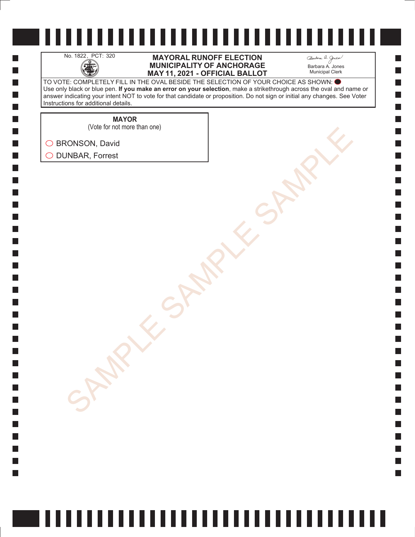H

 $\Box$  $\Box$  $\mathcal{L}_{\mathcal{A}}$  $\Box$ 

#### No. 1822, PCT: 320 **MAYORAL RUNOFF ELECTION**<br>MUNICIPALITY OF ANCHORAGE<br>MAY 11. 2021 - OFFICIAL BALLO **MUNICIPALITY OF ANCHORAGE MAY 11, 2021 - OFFICIAL BALLOT**

Barbara A. Jones Municipal Clerk

**College** 

TO VOTE: COMPLETELY FILL IN THE OVAL BESIDE THE SELECTION OF YOUR CHOICE AS SHOWN: Use only black or blue pen. **If you make an error on your selection**, make a strikethrough across the oval and name or answer indicating your intent NOT to vote for that candidate or proposition. Do not sign or initial any changes. See Voter Instructions for additional details.

**MAYOR**

(Vote for not more than one)

SONSON, David<br>AMBAR, Forrest<br>SAMPLE SAMPLE SAMPLE SAMPLE ◯ BRONSON, David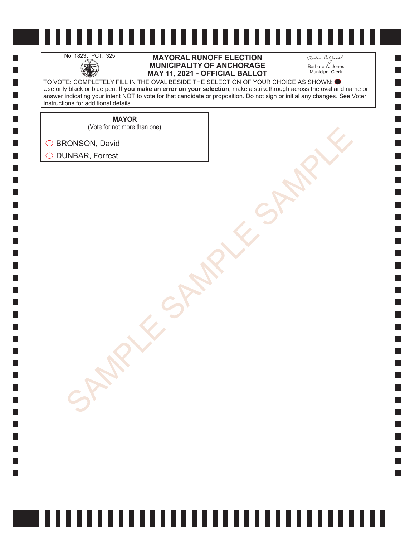H

 $\Box$  $\Box$  $\mathcal{L}_{\mathcal{A}}$  $\Box$ 

#### No. 1823, PCT: 325 **MAYORAL RUNOFF ELECTION**<br>MUNICIPALITY OF ANCHORAGE<br>MAY 11. 2021 - OFFICIAL BALLO **MUNICIPALITY OF ANCHORAGE MAY 11, 2021 - OFFICIAL BALLOT**

Barbara A. Jones Municipal Clerk

**College** 

TO VOTE: COMPLETELY FILL IN THE OVAL BESIDE THE SELECTION OF YOUR CHOICE AS SHOWN: Use only black or blue pen. **If you make an error on your selection**, make a strikethrough across the oval and name or answer indicating your intent NOT to vote for that candidate or proposition. Do not sign or initial any changes. See Voter Instructions for additional details.

**MAYOR**

(Vote for not more than one)

SONSON, David<br>AMBAR, Forrest<br>SAMPLE SAMPLE SAMPLE SAMPLE ◯ BRONSON, David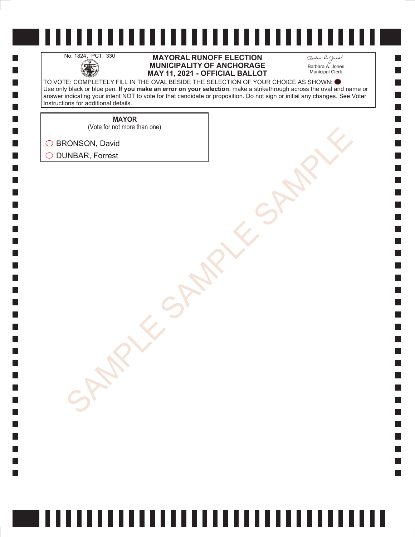H

 $\Box$  $\Box$  $\mathcal{L}_{\mathcal{A}}$  $\Box$ 

#### No. 1824, PCT: 330 **MAYORAL RUNOFF ELECTION**<br>MUNICIPALITY OF ANCHORAGE<br>MAY 11. 2021 - OFFICIAL BALLO **MUNICIPALITY OF ANCHORAGE MAY 11, 2021 - OFFICIAL BALLOT**

Barbara A. Jones Municipal Clerk

**College** 

TO VOTE: COMPLETELY FILL IN THE OVAL BESIDE THE SELECTION OF YOUR CHOICE AS SHOWN: Use only black or blue pen. **If you make an error on your selection**, make a strikethrough across the oval and name or answer indicating your intent NOT to vote for that candidate or proposition. Do not sign or initial any changes. See Voter Instructions for additional details.

**MAYOR**

(Vote for not more than one)

SONSON, David<br>AMBAR, Forrest<br>SAMPLE SAMPLE SAMPLE SAMPLE ◯ BRONSON, David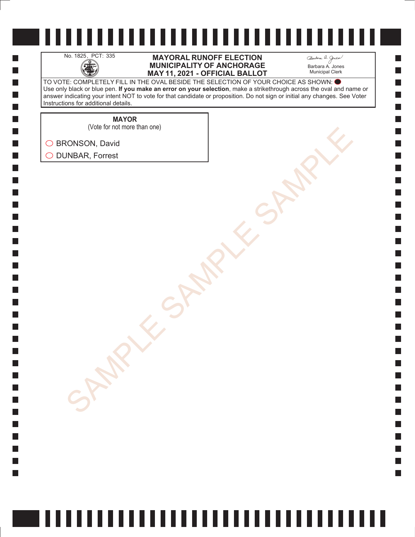H

 $\Box$  $\Box$  $\mathcal{L}_{\mathcal{A}}$  $\Box$ 

#### No. 1825, PCT: 335 **MAYORAL RUNOFF ELECTION**<br>MUNICIPALITY OF ANCHORAGE<br>MAY 11. 2021 - OFFICIAL BALLO **MUNICIPALITY OF ANCHORAGE MAY 11, 2021 - OFFICIAL BALLOT**

Barbara A. Jones Municipal Clerk

**College** 

TO VOTE: COMPLETELY FILL IN THE OVAL BESIDE THE SELECTION OF YOUR CHOICE AS SHOWN: Use only black or blue pen. **If you make an error on your selection**, make a strikethrough across the oval and name or answer indicating your intent NOT to vote for that candidate or proposition. Do not sign or initial any changes. See Voter Instructions for additional details.

**MAYOR**

(Vote for not more than one)

SONSON, David<br>AMBAR, Forrest<br>SAMPLE SAMPLE SAMPLE SAMPLE ◯ BRONSON, David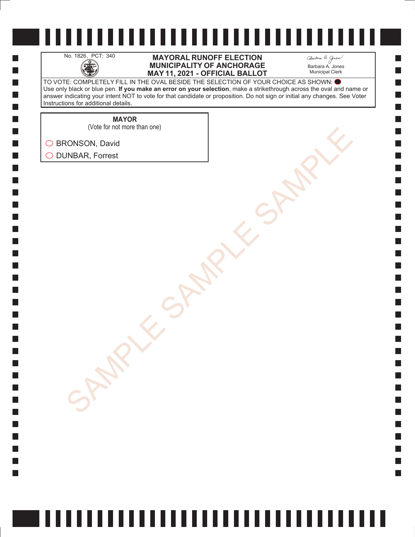H

 $\Box$  $\Box$  $\mathcal{L}_{\mathcal{A}}$  $\Box$ 

#### No. 1826, PCT: 340 **MAYORAL RUNOFF ELECTION**<br>MUNICIPALITY OF ANCHORAGE<br>MAY 11. 2021 - OFFICIAL BALLO **MUNICIPALITY OF ANCHORAGE MAY 11, 2021 - OFFICIAL BALLOT**

Barbara A. Jones Municipal Clerk

**College** 

TO VOTE: COMPLETELY FILL IN THE OVAL BESIDE THE SELECTION OF YOUR CHOICE AS SHOWN: Use only black or blue pen. **If you make an error on your selection**, make a strikethrough across the oval and name or answer indicating your intent NOT to vote for that candidate or proposition. Do not sign or initial any changes. See Voter Instructions for additional details.

**MAYOR**

(Vote for not more than one)

SONSON, David<br>AMBAR, Forrest<br>SAMPLE SAMPLE SAMPLE SAMPLE ◯ BRONSON, David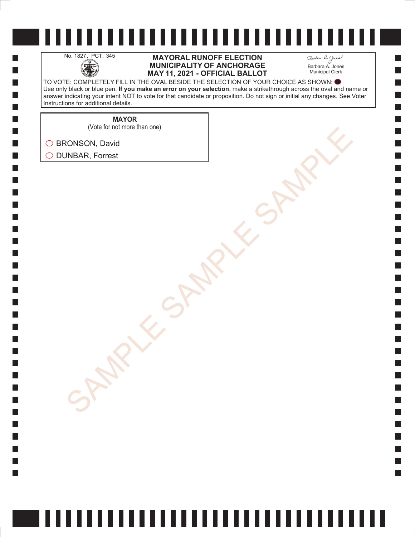H

 $\Box$  $\Box$  $\mathcal{L}_{\mathcal{A}}$  $\Box$ 

#### No. 1827, PCT: 345 **MAYORAL RUNOFF ELECTION**<br>MUNICIPALITY OF ANCHORAGE<br>MAY 11. 2021 - OFFICIAL BALLO **MUNICIPALITY OF ANCHORAGE MAY 11, 2021 - OFFICIAL BALLOT**

Barbara A. Jones Municipal Clerk

**College** 

TO VOTE: COMPLETELY FILL IN THE OVAL BESIDE THE SELECTION OF YOUR CHOICE AS SHOWN: Use only black or blue pen. **If you make an error on your selection**, make a strikethrough across the oval and name or answer indicating your intent NOT to vote for that candidate or proposition. Do not sign or initial any changes. See Voter Instructions for additional details.

**MAYOR**

SONSON, David<br>AMBAR, Forrest<br>SAMPLE SAMPLE SAMPLE SAMPLE (Vote for not more than one)

◯ BRONSON, David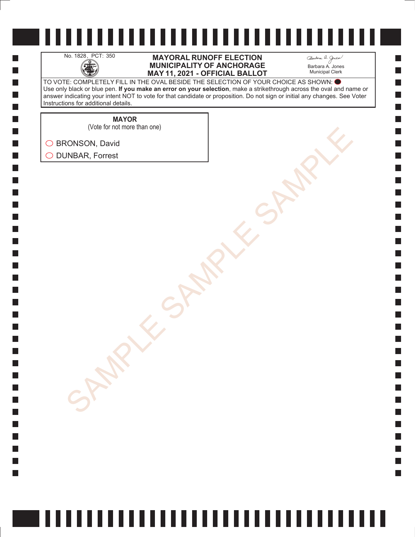H

 $\Box$  $\Box$  $\mathcal{L}_{\mathcal{A}}$  $\Box$ 

#### No. 1828, PCT: 350 **MAYORAL RUNOFF ELECTION**<br>MUNICIPALITY OF ANCHORAGE<br>MAY 11. 2021 - OFFICIAL BALLO **MUNICIPALITY OF ANCHORAGE MAY 11, 2021 - OFFICIAL BALLOT**

Barbara A. Jones Municipal Clerk

**College** 

TO VOTE: COMPLETELY FILL IN THE OVAL BESIDE THE SELECTION OF YOUR CHOICE AS SHOWN: Use only black or blue pen. **If you make an error on your selection**, make a strikethrough across the oval and name or answer indicating your intent NOT to vote for that candidate or proposition. Do not sign or initial any changes. See Voter Instructions for additional details.

**MAYOR**

(Vote for not more than one)

SONSON, David<br>AMBAR, Forrest<br>SAMPLE SAMPLE SAMPLE SAMPLE ◯ BRONSON, David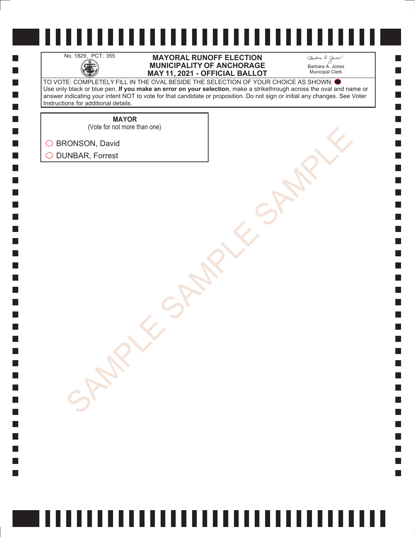H

 $\Box$  $\Box$  $\mathcal{L}_{\mathcal{A}}$  $\Box$ 

#### No. 1829, PCT: 355 **MAYORAL RUNOFF ELECTION**<br>MUNICIPALITY OF ANCHORAGE<br>MAY 11. 2021 - OFFICIAL BALLO **MUNICIPALITY OF ANCHORAGE MAY 11, 2021 - OFFICIAL BALLOT**

Barbara A. Jones Municipal Clerk

**College** 

TO VOTE: COMPLETELY FILL IN THE OVAL BESIDE THE SELECTION OF YOUR CHOICE AS SHOWN: Use only black or blue pen. **If you make an error on your selection**, make a strikethrough across the oval and name or answer indicating your intent NOT to vote for that candidate or proposition. Do not sign or initial any changes. See Voter Instructions for additional details.

**MAYOR**

(Vote for not more than one)

SONSON, David<br>AMBAR, Forrest<br>SAMPLE SAMPLE SAMPLE SAMPLE ◯ BRONSON, David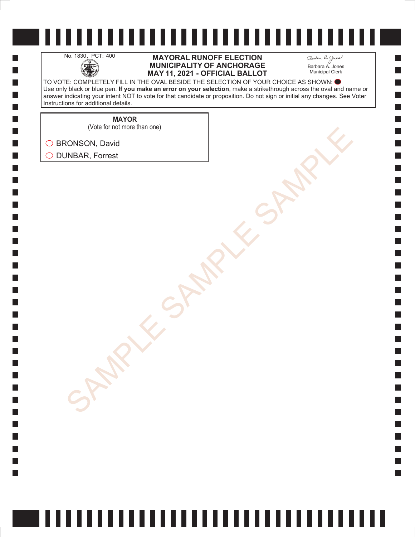H

 $\Box$  $\Box$  $\mathcal{L}_{\mathcal{A}}$  $\Box$ 

#### No. 1830, PCT: 400 **MAYORAL RUNOFF ELECTION**<br>MUNICIPALITY OF ANCHORAGE<br>MAY 11. 2021 - OFFICIAL BALLO **MUNICIPALITY OF ANCHORAGE MAY 11, 2021 - OFFICIAL BALLOT**

Barbara A. Jones Municipal Clerk

**College** 

TO VOTE: COMPLETELY FILL IN THE OVAL BESIDE THE SELECTION OF YOUR CHOICE AS SHOWN: Use only black or blue pen. **If you make an error on your selection**, make a strikethrough across the oval and name or answer indicating your intent NOT to vote for that candidate or proposition. Do not sign or initial any changes. See Voter Instructions for additional details.

**MAYOR**

(Vote for not more than one)

SONSON, David<br>AMBAR, Forrest<br>SAMPLE SAMPLE SAMPLE SAMPLE ◯ BRONSON, David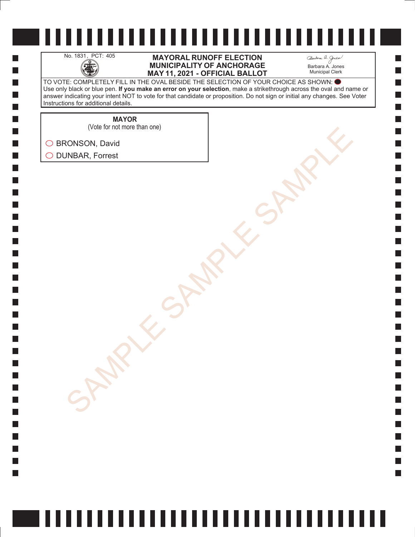H

 $\Box$  $\Box$  $\mathcal{L}_{\mathcal{A}}$  $\Box$ 

#### No. 1831, PCT: 405 **MAYORAL RUNOFF ELECTION**<br>MUNICIPALITY OF ANCHORAGE<br>MAY 11. 2021 - OFFICIAL BALLO **MUNICIPALITY OF ANCHORAGE MAY 11, 2021 - OFFICIAL BALLOT**

Barbara A. Jones Municipal Clerk

**Simple** 

TO VOTE: COMPLETELY FILL IN THE OVAL BESIDE THE SELECTION OF YOUR CHOICE AS SHOWN: Use only black or blue pen. **If you make an error on your selection**, make a strikethrough across the oval and name or answer indicating your intent NOT to vote for that candidate or proposition. Do not sign or initial any changes. See Voter Instructions for additional details.

**MAYOR**

(Vote for not more than one)

SONSON, David<br>AMBAR, Forrest<br>SAMPLE SAMPLE SAMPLE SAMPLE ◯ BRONSON, David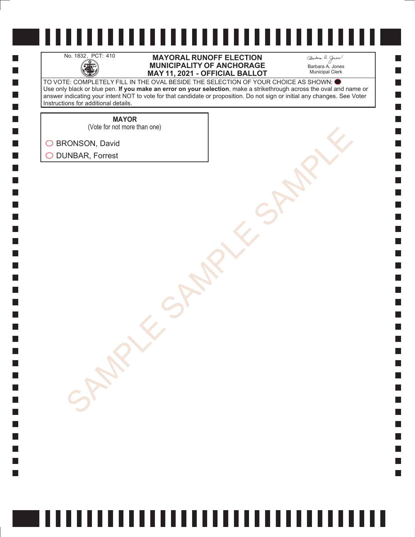H

 $\Box$  $\Box$  $\mathcal{L}_{\mathcal{A}}$  $\Box$ 

#### No. 1832, PCT: 410 **MAYORAL RUNOFF ELECTION**<br>MUNICIPALITY OF ANCHORAGE<br>MAY 11. 2021 - OFFICIAL BALLO **MUNICIPALITY OF ANCHORAGE MAY 11, 2021 - OFFICIAL BALLOT**

Barbara A. Jones Municipal Clerk

**Simple** 

TO VOTE: COMPLETELY FILL IN THE OVAL BESIDE THE SELECTION OF YOUR CHOICE AS SHOWN: Use only black or blue pen. **If you make an error on your selection**, make a strikethrough across the oval and name or answer indicating your intent NOT to vote for that candidate or proposition. Do not sign or initial any changes. See Voter Instructions for additional details.

**MAYOR**

SONSON, David<br>AMBAR, Forrest<br>SAMPLE SAMPLE SAMPLE SAMPLE (Vote for not more than one)

◯ BRONSON, David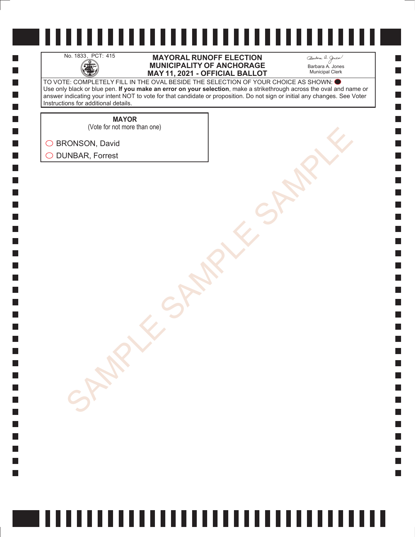H

 $\Box$  $\Box$  $\mathcal{L}_{\mathcal{A}}$  $\Box$ 

#### No. 1833, PCT: 415 **MAYORAL RUNOFF ELECTION**<br>MUNICIPALITY OF ANCHORAGE<br>MAY 11. 2021 - OFFICIAL BALLO **MUNICIPALITY OF ANCHORAGE MAY 11, 2021 - OFFICIAL BALLOT**

Barbara A. Jones Municipal Clerk

**Simple** 

TO VOTE: COMPLETELY FILL IN THE OVAL BESIDE THE SELECTION OF YOUR CHOICE AS SHOWN: Use only black or blue pen. **If you make an error on your selection**, make a strikethrough across the oval and name or answer indicating your intent NOT to vote for that candidate or proposition. Do not sign or initial any changes. See Voter Instructions for additional details.

**MAYOR**

(Vote for not more than one)

SONSON, David<br>AMBAR, Forrest<br>SAMPLE SAMPLE SAMPLE SAMPLE ◯ BRONSON, David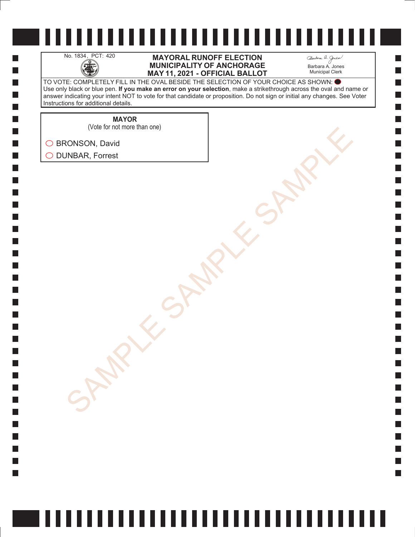H

 $\Box$  $\Box$  $\mathcal{L}_{\mathcal{A}}$  $\Box$ 

#### No. 1834, PCT: 420 **MAYORAL RUNOFF ELECTION**<br>MUNICIPALITY OF ANCHORAGE<br>MAY 11. 2021 - OFFICIAL BALLO **MUNICIPALITY OF ANCHORAGE MAY 11, 2021 - OFFICIAL BALLOT**

Barbara A. Jones Municipal Clerk

**Simple** 

TO VOTE: COMPLETELY FILL IN THE OVAL BESIDE THE SELECTION OF YOUR CHOICE AS SHOWN: Use only black or blue pen. **If you make an error on your selection**, make a strikethrough across the oval and name or answer indicating your intent NOT to vote for that candidate or proposition. Do not sign or initial any changes. See Voter Instructions for additional details.

**MAYOR**

SONSON, David<br>AMBAR, Forrest<br>SAMPLE SAMPLE SAMPLE SAMPLE (Vote for not more than one)

◯ BRONSON, David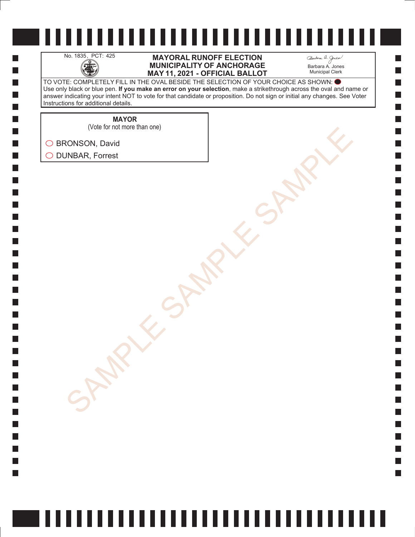H

 $\Box$  $\Box$  $\mathcal{L}_{\mathcal{A}}$  $\Box$ 

#### No. 1835, PCT: 425 **MAYORAL RUNOFF ELECTION**<br>MUNICIPALITY OF ANCHORAGE<br>MAY 11. 2021 - OFFICIAL BALLO **MUNICIPALITY OF ANCHORAGE MAY 11, 2021 - OFFICIAL BALLOT**

Barbara A. Jones Municipal Clerk

**Simple** 

TO VOTE: COMPLETELY FILL IN THE OVAL BESIDE THE SELECTION OF YOUR CHOICE AS SHOWN: Use only black or blue pen. **If you make an error on your selection**, make a strikethrough across the oval and name or answer indicating your intent NOT to vote for that candidate or proposition. Do not sign or initial any changes. See Voter Instructions for additional details.

> **MAYOR** (Vote for not more than one)

SONSON, David<br>AMBAR, Forrest<br>SAMPLE SAMPLE SAMPLE SAMPLE ◯ BRONSON, David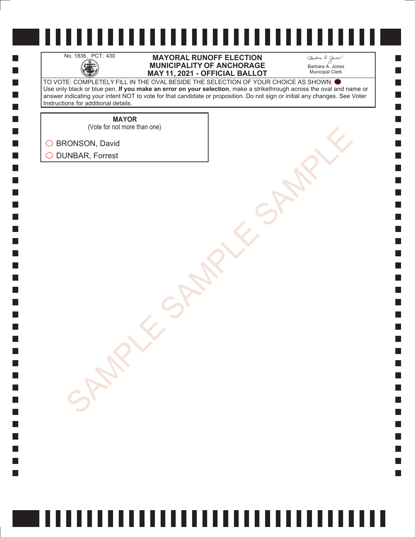H

 $\Box$  $\Box$  $\mathcal{L}_{\mathcal{A}}$  $\Box$ 

#### No. 1836, PCT: 430 **MAYORAL RUNOFF ELECTION**<br>MUNICIPALITY OF ANCHORAGE<br>MAY 11. 2021 - OFFICIAL BALLO **MUNICIPALITY OF ANCHORAGE MAY 11, 2021 - OFFICIAL BALLOT**

Barbara A. Jones Municipal Clerk

**College** 

TO VOTE: COMPLETELY FILL IN THE OVAL BESIDE THE SELECTION OF YOUR CHOICE AS SHOWN: Use only black or blue pen. **If you make an error on your selection**, make a strikethrough across the oval and name or answer indicating your intent NOT to vote for that candidate or proposition. Do not sign or initial any changes. See Voter Instructions for additional details.

**MAYOR**

SONSON, David<br>AMBAR, Forrest<br>SAMPLE SAMPLE SAMPLE SAMPLE (Vote for not more than one)

◯ BRONSON, David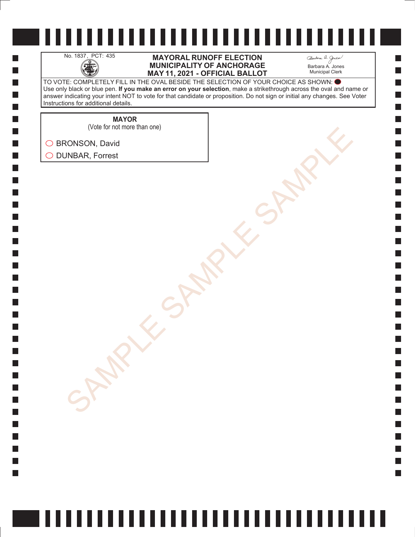H

 $\Box$  $\Box$  $\mathcal{L}_{\mathcal{A}}$  $\Box$ 

#### No. 1837, PCT: 435 **MAYORAL RUNOFF ELECTION**<br>MUNICIPALITY OF ANCHORAGE<br>MAY 11. 2021 - OFFICIAL BALLO **MUNICIPALITY OF ANCHORAGE MAY 11, 2021 - OFFICIAL BALLOT**

Barbara A. Jones Municipal Clerk

**College** 

TO VOTE: COMPLETELY FILL IN THE OVAL BESIDE THE SELECTION OF YOUR CHOICE AS SHOWN: Use only black or blue pen. **If you make an error on your selection**, make a strikethrough across the oval and name or answer indicating your intent NOT to vote for that candidate or proposition. Do not sign or initial any changes. See Voter Instructions for additional details.

**MAYOR**

(Vote for not more than one)

SONSON, David<br>AMBAR, Forrest<br>SAMPLE SAMPLE SAMPLE SAMPLE ◯ BRONSON, David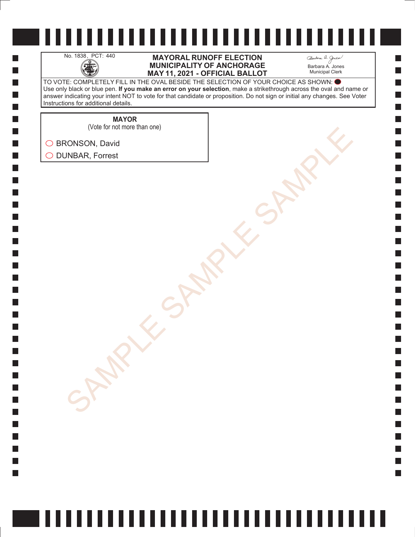H

 $\Box$  $\Box$  $\mathcal{L}_{\mathcal{A}}$  $\Box$ 

#### No. 1838, PCT: 440 **MAYORAL RUNOFF ELECTION**<br>MUNICIPALITY OF ANCHORAGE<br>MAY 11. 2021 - OFFICIAL BALLO **MUNICIPALITY OF ANCHORAGE MAY 11, 2021 - OFFICIAL BALLOT**

Barbara A. Jones Municipal Clerk

**College** 

TO VOTE: COMPLETELY FILL IN THE OVAL BESIDE THE SELECTION OF YOUR CHOICE AS SHOWN: Use only black or blue pen. **If you make an error on your selection**, make a strikethrough across the oval and name or answer indicating your intent NOT to vote for that candidate or proposition. Do not sign or initial any changes. See Voter Instructions for additional details.

**MAYOR**

SONSON, David<br>AMBAR, Forrest<br>SAMPLE SAMPLE SAMPLE SAMPLE (Vote for not more than one)

◯ BRONSON, David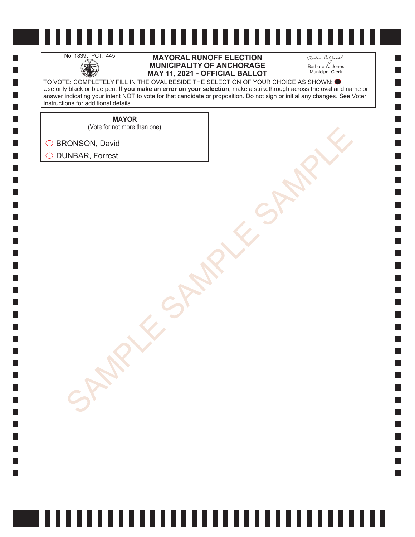H

 $\Box$  $\Box$  $\mathcal{L}_{\mathcal{A}}$  $\Box$ 

#### No. 1839, PCT: 445 **MAYORAL RUNOFF ELECTION**<br>MUNICIPALITY OF ANCHORAGE<br>MAY 11. 2021 - OFFICIAL BALLO **MUNICIPALITY OF ANCHORAGE MAY 11, 2021 - OFFICIAL BALLOT**

Barbara A. Jones Municipal Clerk

**College** 

TO VOTE: COMPLETELY FILL IN THE OVAL BESIDE THE SELECTION OF YOUR CHOICE AS SHOWN: Use only black or blue pen. **If you make an error on your selection**, make a strikethrough across the oval and name or answer indicating your intent NOT to vote for that candidate or proposition. Do not sign or initial any changes. See Voter Instructions for additional details.

**MAYOR**

(Vote for not more than one)

SONSON, David<br>AMBAR, Forrest<br>SAMPLE SAMPLE SAMPLE SAMPLE ◯ BRONSON, David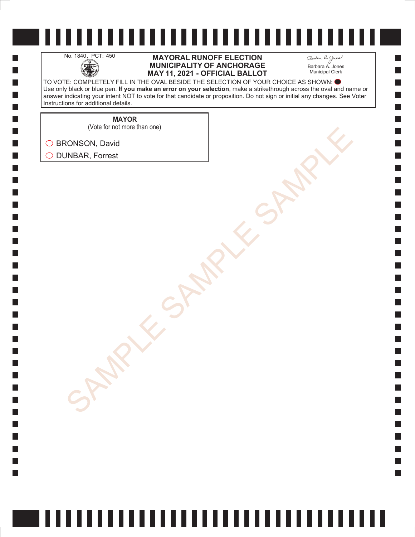H

 $\Box$  $\Box$  $\mathcal{L}_{\mathcal{A}}$  $\Box$ 

#### No. 1840, PCT: 450 **MAYORAL RUNOFF ELECTION**<br>MUNICIPALITY OF ANCHORAGE<br>MAY 11. 2021 - OFFICIAL BALLO **MUNICIPALITY OF ANCHORAGE MAY 11, 2021 - OFFICIAL BALLOT**

Barbara A. Jones Municipal Clerk

**College** 

TO VOTE: COMPLETELY FILL IN THE OVAL BESIDE THE SELECTION OF YOUR CHOICE AS SHOWN: Use only black or blue pen. **If you make an error on your selection**, make a strikethrough across the oval and name or answer indicating your intent NOT to vote for that candidate or proposition. Do not sign or initial any changes. See Voter Instructions for additional details.

**MAYOR**

SONSON, David<br>AMBAR, Forrest<br>SAMPLE SAMPLE SAMPLE SAMPLE (Vote for not more than one)

◯ BRONSON, David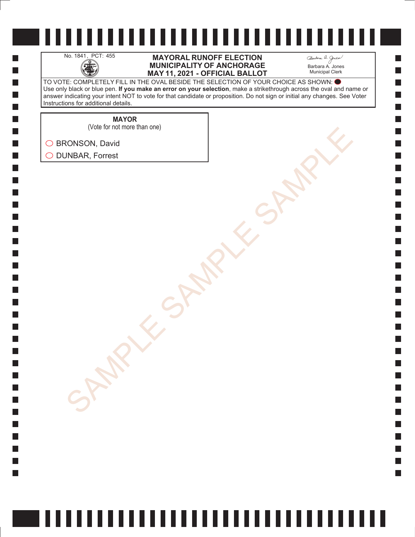H

 $\Box$  $\Box$  $\mathcal{L}_{\mathcal{A}}$  $\Box$ 

#### No. 1841, PCT: 455 **MAYORAL RUNOFF ELECTION**<br>MUNICIPALITY OF ANCHORAGE<br>MAY 11. 2021 - OFFICIAL BALLO **MUNICIPALITY OF ANCHORAGE MAY 11, 2021 - OFFICIAL BALLOT**

Barbara A. Jones Municipal Clerk

**College** 

TO VOTE: COMPLETELY FILL IN THE OVAL BESIDE THE SELECTION OF YOUR CHOICE AS SHOWN: Use only black or blue pen. **If you make an error on your selection**, make a strikethrough across the oval and name or answer indicating your intent NOT to vote for that candidate or proposition. Do not sign or initial any changes. See Voter Instructions for additional details.

**MAYOR**

(Vote for not more than one)

SONSON, David<br>AMBAR, Forrest<br>SAMPLE SAMPLE SAMPLE SAMPLE ◯ BRONSON, David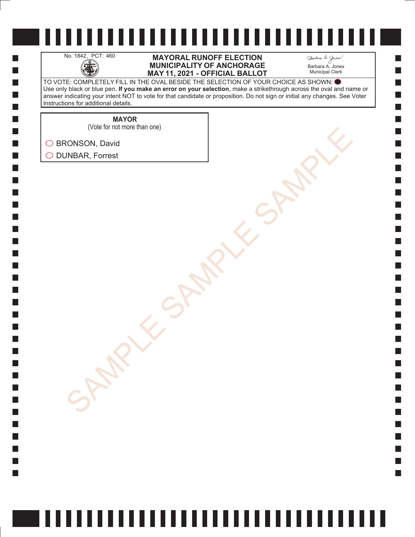H

 $\Box$  $\Box$  $\mathcal{L}_{\mathcal{A}}$  $\Box$ 

#### No. 1842, PCT: 460 **MAYORAL RUNOFF ELECTION**<br>MUNICIPALITY OF ANCHORAGE<br>MAY 11. 2021 - OFFICIAL BALLO **MUNICIPALITY OF ANCHORAGE MAY 11, 2021 - OFFICIAL BALLOT**

Barbara A. Jones Municipal Clerk

**College** 

TO VOTE: COMPLETELY FILL IN THE OVAL BESIDE THE SELECTION OF YOUR CHOICE AS SHOWN: Use only black or blue pen. **If you make an error on your selection**, make a strikethrough across the oval and name or answer indicating your intent NOT to vote for that candidate or proposition. Do not sign or initial any changes. See Voter Instructions for additional details.

**MAYOR**

(Vote for not more than one)

SONSON, David<br>AMBAR, Forrest<br>SAMPLE SAMPLE SAMPLE SAMPLE ◯ BRONSON, David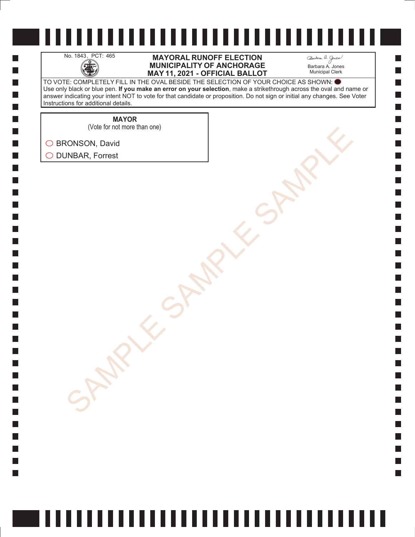H

 $\Box$  $\Box$  $\mathcal{L}_{\mathcal{A}}$  $\Box$ 

#### No. 1843, PCT: 465 **MAYORAL RUNOFF ELECTION**<br>MUNICIPALITY OF ANCHORAGE<br>MAY 11. 2021 - OFFICIAL BALLO **MUNICIPALITY OF ANCHORAGE MAY 11, 2021 - OFFICIAL BALLOT**

Barbara A. Jones Municipal Clerk

**College** 

TO VOTE: COMPLETELY FILL IN THE OVAL BESIDE THE SELECTION OF YOUR CHOICE AS SHOWN: Use only black or blue pen. **If you make an error on your selection**, make a strikethrough across the oval and name or answer indicating your intent NOT to vote for that candidate or proposition. Do not sign or initial any changes. See Voter Instructions for additional details.

**MAYOR**

SONSON, David<br>AMBAR, Forrest<br>SAMPLE SAMPLE SAMPLE SAMPLE (Vote for not more than one)

◯ BRONSON, David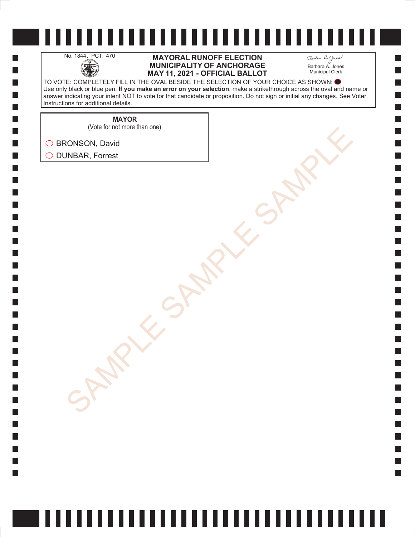H

 $\Box$  $\Box$  $\mathcal{L}_{\mathcal{A}}$  $\Box$ 

#### No. 1844, PCT: 470 **MAYORAL RUNOFF ELECTION**<br>MUNICIPALITY OF ANCHORAGE<br>MAY 11. 2021 - OFFICIAL BALLO **MUNICIPALITY OF ANCHORAGE MAY 11, 2021 - OFFICIAL BALLOT**

Barbara A. Jones Municipal Clerk

**College** 

TO VOTE: COMPLETELY FILL IN THE OVAL BESIDE THE SELECTION OF YOUR CHOICE AS SHOWN: Use only black or blue pen. **If you make an error on your selection**, make a strikethrough across the oval and name or answer indicating your intent NOT to vote for that candidate or proposition. Do not sign or initial any changes. See Voter Instructions for additional details.

**MAYOR**

SONSON, David<br>AMBAR, Forrest<br>SAMPLE SAMPLE SAMPLE SAMPLE (Vote for not more than one)

◯ BRONSON, David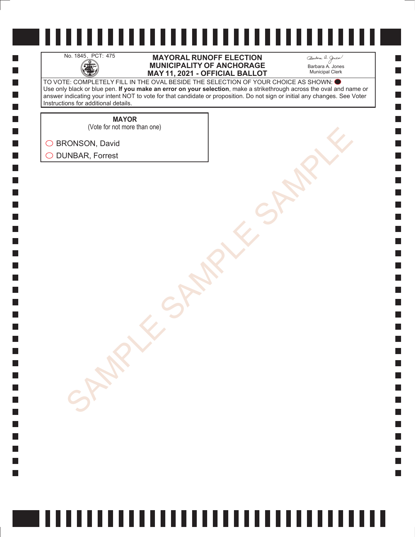H

 $\Box$  $\Box$  $\mathcal{L}_{\mathcal{A}}$  $\Box$ 

#### No. 1845, PCT: 475 **MAYORAL RUNOFF ELECTION**<br>MUNICIPALITY OF ANCHORAGE<br>MAY 11. 2021 - OFFICIAL BALLO **MUNICIPALITY OF ANCHORAGE MAY 11, 2021 - OFFICIAL BALLOT**

Barbara A. Jones Municipal Clerk

**College** 

TO VOTE: COMPLETELY FILL IN THE OVAL BESIDE THE SELECTION OF YOUR CHOICE AS SHOWN: Use only black or blue pen. **If you make an error on your selection**, make a strikethrough across the oval and name or answer indicating your intent NOT to vote for that candidate or proposition. Do not sign or initial any changes. See Voter Instructions for additional details.

> **MAYOR** (Vote for not more than one)

SONSON, David<br>AMBAR, Forrest<br>SAMPLE SAMPLE SAMPLE SAMPLE ◯ BRONSON, David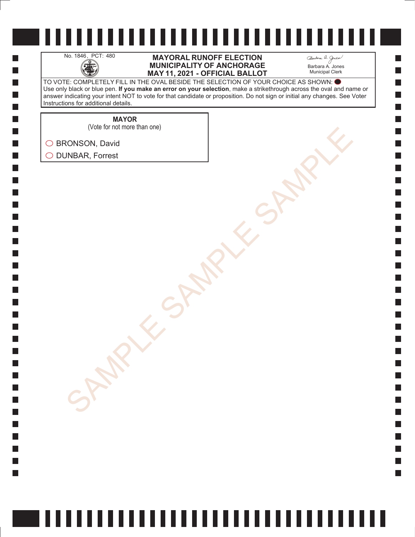H

 $\Box$  $\Box$  $\mathcal{L}_{\mathcal{A}}$  $\Box$ 

#### No. 1846, PCT: 480 **MAYORAL RUNOFF ELECTION**<br>MUNICIPALITY OF ANCHORAGE<br>MAY 11. 2021 - OFFICIAL BALLO **MUNICIPALITY OF ANCHORAGE MAY 11, 2021 - OFFICIAL BALLOT**

Barbara A. Jones Municipal Clerk

**College** 

TO VOTE: COMPLETELY FILL IN THE OVAL BESIDE THE SELECTION OF YOUR CHOICE AS SHOWN: Use only black or blue pen. **If you make an error on your selection**, make a strikethrough across the oval and name or answer indicating your intent NOT to vote for that candidate or proposition. Do not sign or initial any changes. See Voter Instructions for additional details.

**MAYOR**

SONSON, David<br>AMBAR, Forrest<br>SAMPLE SAMPLE SAMPLE SAMPLE (Vote for not more than one)

◯ BRONSON, David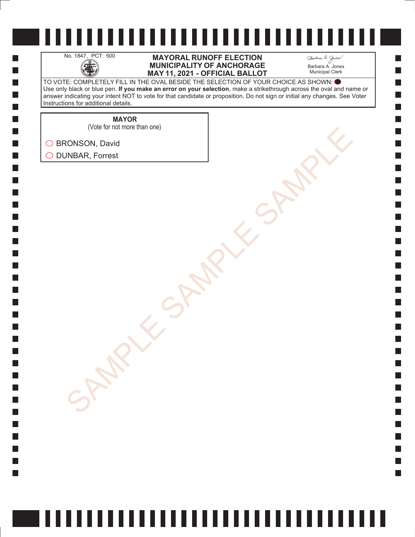H

 $\Box$  $\Box$  $\mathcal{L}_{\mathcal{A}}$  $\Box$ 

#### No. 1847, PCT: 500 **MAYORAL RUNOFF ELECTION**<br>MUNICIPALITY OF ANCHORAGE<br>MAY 11. 2021 - OFFICIAL BALLO **MUNICIPALITY OF ANCHORAGE MAY 11, 2021 - OFFICIAL BALLOT**

Barbara A. Jones Municipal Clerk

**College** 

TO VOTE: COMPLETELY FILL IN THE OVAL BESIDE THE SELECTION OF YOUR CHOICE AS SHOWN: Use only black or blue pen. **If you make an error on your selection**, make a strikethrough across the oval and name or answer indicating your intent NOT to vote for that candidate or proposition. Do not sign or initial any changes. See Voter Instructions for additional details.

**MAYOR**

(Vote for not more than one)

SONSON, David<br>AMBAR, Forrest<br>SAMPLE SAMPLE SAMPLE SAMPLE ◯ BRONSON, David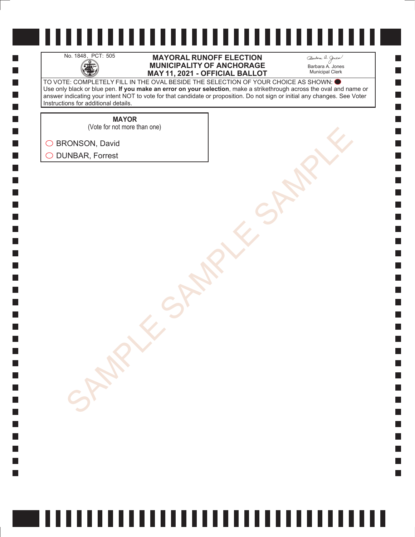H

 $\Box$  $\Box$  $\mathcal{L}_{\mathcal{A}}$  $\Box$ 

#### No. 1848, PCT: 505 **MAYORAL RUNOFF ELECTION**<br>MUNICIPALITY OF ANCHORAGE<br>MAY 11. 2021 - OFFICIAL BALLO **MUNICIPALITY OF ANCHORAGE MAY 11, 2021 - OFFICIAL BALLOT**

Barbara A. Jones Municipal Clerk

**College** 

TO VOTE: COMPLETELY FILL IN THE OVAL BESIDE THE SELECTION OF YOUR CHOICE AS SHOWN: Use only black or blue pen. **If you make an error on your selection**, make a strikethrough across the oval and name or answer indicating your intent NOT to vote for that candidate or proposition. Do not sign or initial any changes. See Voter Instructions for additional details.

**MAYOR**

(Vote for not more than one)

SONSON, David<br>AMBAR, Forrest<br>SAMPLE SAMPLE SAMPLE SAMPLE ◯ BRONSON, David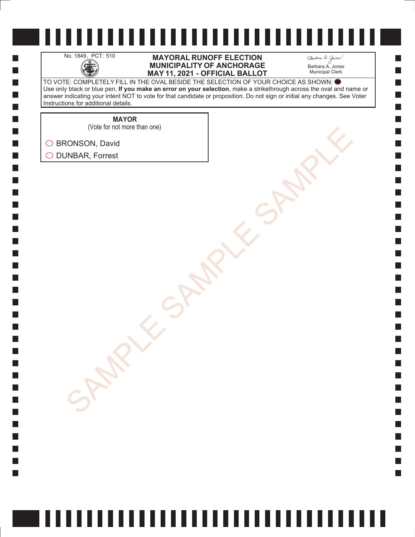H

 $\Box$  $\Box$  $\mathcal{L}_{\mathcal{A}}$  $\Box$ 

#### No. 1849, PCT: 510 **MAYORAL RUNOFF ELECTION**<br>MUNICIPALITY OF ANCHORAGE<br>MAY 11. 2021 - OFFICIAL BALLO **MUNICIPALITY OF ANCHORAGE MAY 11, 2021 - OFFICIAL BALLOT**

Barbara A. Jones Municipal Clerk

**College** 

TO VOTE: COMPLETELY FILL IN THE OVAL BESIDE THE SELECTION OF YOUR CHOICE AS SHOWN: Use only black or blue pen. **If you make an error on your selection**, make a strikethrough across the oval and name or answer indicating your intent NOT to vote for that candidate or proposition. Do not sign or initial any changes. See Voter Instructions for additional details.

**MAYOR**

SONSON, David<br>AMBAR, Forrest<br>SAMPLE SAMPLE SAMPLE SAMPLE (Vote for not more than one)

◯ BRONSON, David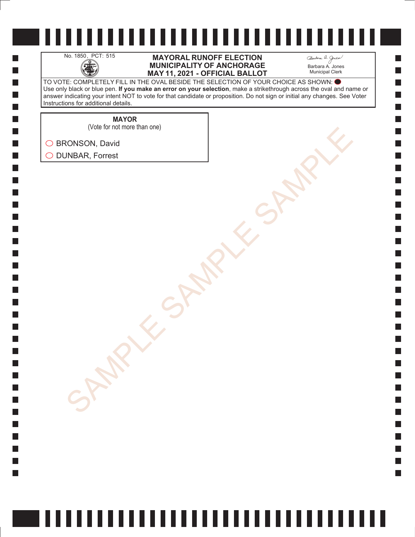H

 $\Box$  $\Box$  $\mathcal{L}_{\mathcal{A}}$  $\Box$ 

#### No. 1850, PCT: 515 **MAYORAL RUNOFF ELECTION**<br>MUNICIPALITY OF ANCHORAGE<br>MAY 11. 2021 - OFFICIAL BALLO **MUNICIPALITY OF ANCHORAGE MAY 11, 2021 - OFFICIAL BALLOT**

Barbara A. Jones Municipal Clerk

**College** 

TO VOTE: COMPLETELY FILL IN THE OVAL BESIDE THE SELECTION OF YOUR CHOICE AS SHOWN: Use only black or blue pen. **If you make an error on your selection**, make a strikethrough across the oval and name or answer indicating your intent NOT to vote for that candidate or proposition. Do not sign or initial any changes. See Voter Instructions for additional details.

**MAYOR**

SONSON, David<br>AMBAR, Forrest<br>SAMPLE SAMPLE SAMPLE SAMPLE (Vote for not more than one)

◯ BRONSON, David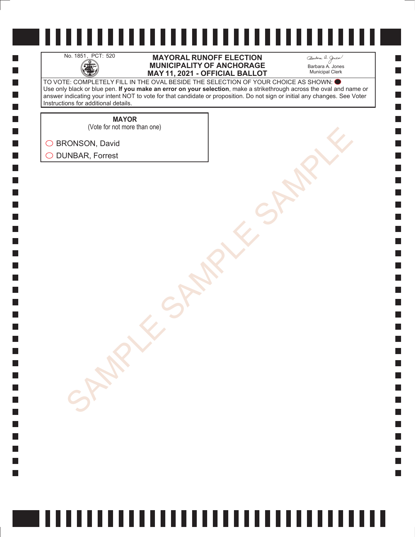H

 $\Box$  $\Box$  $\mathcal{L}_{\mathcal{A}}$  $\Box$ 

#### No. 1851, PCT: 520 **MAYORAL RUNOFF ELECTION**<br>MUNICIPALITY OF ANCHORAGE<br>MAY 11. 2021 - OFFICIAL BALLO **MUNICIPALITY OF ANCHORAGE MAY 11, 2021 - OFFICIAL BALLOT**

Barbara A. Jones Municipal Clerk

**College** 

TO VOTE: COMPLETELY FILL IN THE OVAL BESIDE THE SELECTION OF YOUR CHOICE AS SHOWN: Use only black or blue pen. **If you make an error on your selection**, make a strikethrough across the oval and name or answer indicating your intent NOT to vote for that candidate or proposition. Do not sign or initial any changes. See Voter Instructions for additional details.

> **MAYOR** (Vote for not more than one)

SONSON, David<br>AMBAR, Forrest<br>SAMPLE SAMPLE SAMPLE SAMPLE ◯ BRONSON, David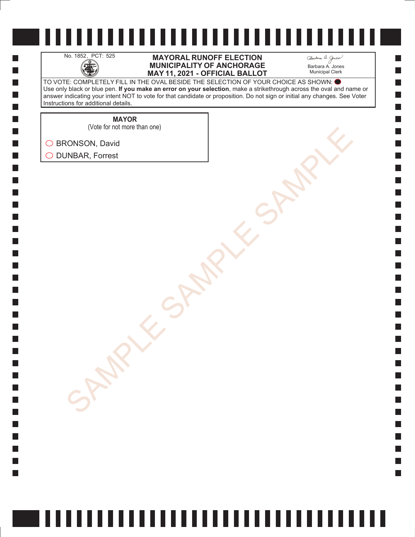H

 $\Box$  $\Box$  $\mathcal{L}_{\mathcal{A}}$  $\Box$ 

#### No. 1852, PCT: 525 **MAYORAL RUNOFF ELECTION**<br>MUNICIPALITY OF ANCHORAGE<br>MAY 11. 2021 - OFFICIAL BALLO **MUNICIPALITY OF ANCHORAGE MAY 11, 2021 - OFFICIAL BALLOT**

Barbara A. Jones Municipal Clerk

**College** 

TO VOTE: COMPLETELY FILL IN THE OVAL BESIDE THE SELECTION OF YOUR CHOICE AS SHOWN: Use only black or blue pen. **If you make an error on your selection**, make a strikethrough across the oval and name or answer indicating your intent NOT to vote for that candidate or proposition. Do not sign or initial any changes. See Voter Instructions for additional details.

**MAYOR**

SONSON, David<br>AMBAR, Forrest<br>SAMPLE SAMPLE SAMPLE SAMPLE (Vote for not more than one)

◯ BRONSON, David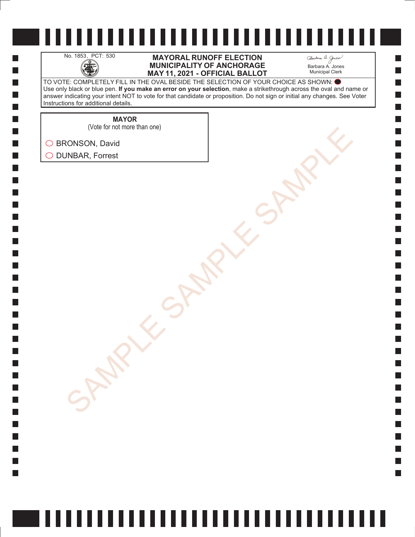H

 $\Box$  $\Box$  $\mathcal{L}_{\mathcal{A}}$  $\Box$ 

#### No. 1853, PCT: 530 **MAYORAL RUNOFF ELECTION**<br>MUNICIPALITY OF ANCHORAGE<br>MAY 11. 2021 - OFFICIAL BALLO **MUNICIPALITY OF ANCHORAGE MAY 11, 2021 - OFFICIAL BALLOT**

Barbara A. Jones Municipal Clerk

**College** 

TO VOTE: COMPLETELY FILL IN THE OVAL BESIDE THE SELECTION OF YOUR CHOICE AS SHOWN: Use only black or blue pen. **If you make an error on your selection**, make a strikethrough across the oval and name or answer indicating your intent NOT to vote for that candidate or proposition. Do not sign or initial any changes. See Voter Instructions for additional details.

**MAYOR**

(Vote for not more than one)

SONSON, David<br>AMBAR, Forrest<br>SAMPLE SAMPLE SAMPLE SAMPLE ◯ BRONSON, David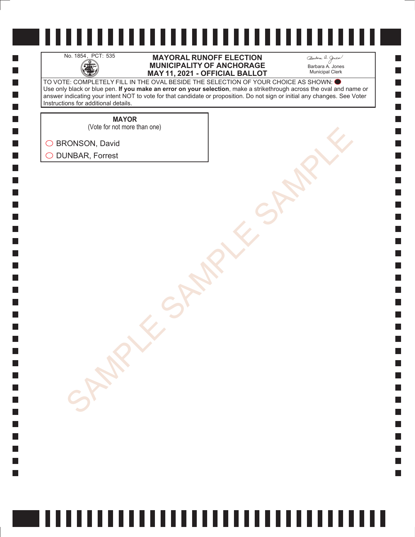H

 $\Box$  $\Box$  $\mathcal{L}_{\mathcal{A}}$  $\Box$ 

#### No. 1854, PCT: 535 **MAYORAL RUNOFF ELECTION**<br>MUNICIPALITY OF ANCHORAGE<br>MAY 11. 2021 - OFFICIAL BALLO **MUNICIPALITY OF ANCHORAGE MAY 11, 2021 - OFFICIAL BALLOT**

Barbara A. Jones Municipal Clerk

**College** 

TO VOTE: COMPLETELY FILL IN THE OVAL BESIDE THE SELECTION OF YOUR CHOICE AS SHOWN: Use only black or blue pen. **If you make an error on your selection**, make a strikethrough across the oval and name or answer indicating your intent NOT to vote for that candidate or proposition. Do not sign or initial any changes. See Voter Instructions for additional details.

**MAYOR**

(Vote for not more than one)

SONSON, David<br>AMBAR, Forrest<br>SAMPLE SAMPLE SAMPLE SAMPLE ◯ BRONSON, David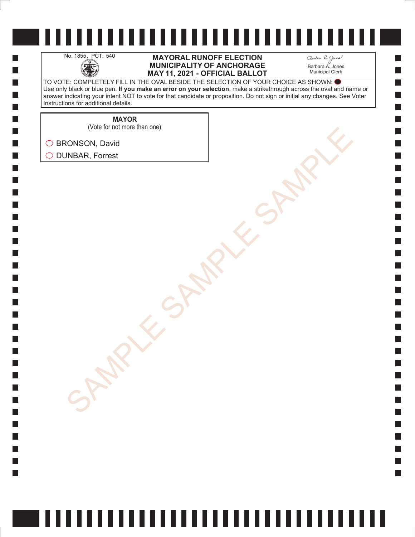H

 $\Box$  $\Box$  $\mathcal{L}_{\mathcal{A}}$  $\Box$ 

#### No. 1855, PCT: 540 **MAYORAL RUNOFF ELECTION**<br>MUNICIPALITY OF ANCHORAGE<br>MAY 11. 2021 - OFFICIAL BALLO **MUNICIPALITY OF ANCHORAGE MAY 11, 2021 - OFFICIAL BALLOT**

Barbara A. Jones Municipal Clerk

**College** 

TO VOTE: COMPLETELY FILL IN THE OVAL BESIDE THE SELECTION OF YOUR CHOICE AS SHOWN: Use only black or blue pen. **If you make an error on your selection**, make a strikethrough across the oval and name or answer indicating your intent NOT to vote for that candidate or proposition. Do not sign or initial any changes. See Voter Instructions for additional details.

**MAYOR**

(Vote for not more than one)

SONSON, David<br>AMBAR, Forrest<br>SAMPLE SAMPLE SAMPLE SAMPLE ◯ BRONSON, David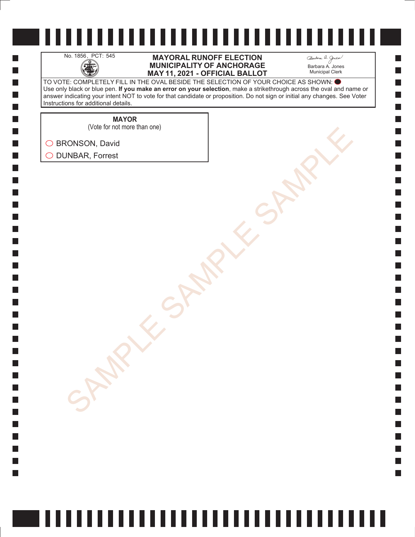H

 $\Box$  $\Box$  $\mathcal{L}_{\mathcal{A}}$  $\Box$ 

#### No. 1856, PCT: 545 **MAYORAL RUNOFF ELECTION**<br>MUNICIPALITY OF ANCHORAGE<br>MAY 11. 2021 - OFFICIAL BALLO **MUNICIPALITY OF ANCHORAGE MAY 11, 2021 - OFFICIAL BALLOT**

Barbara A. Jones Municipal Clerk

**College** 

TO VOTE: COMPLETELY FILL IN THE OVAL BESIDE THE SELECTION OF YOUR CHOICE AS SHOWN: Use only black or blue pen. **If you make an error on your selection**, make a strikethrough across the oval and name or answer indicating your intent NOT to vote for that candidate or proposition. Do not sign or initial any changes. See Voter Instructions for additional details.

**MAYOR**

SONSON, David<br>AMBAR, Forrest<br>SAMPLE SAMPLE SAMPLE SAMPLE (Vote for not more than one)

◯ BRONSON, David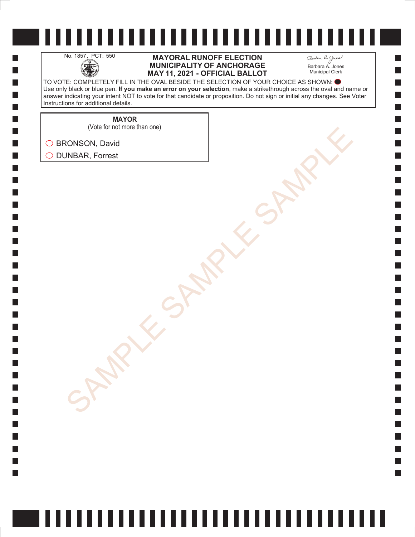H

 $\Box$  $\Box$  $\mathcal{L}_{\mathcal{A}}$  $\Box$ 

#### No. 1857, PCT: 550 **MAYORAL RUNOFF ELECTION**<br>MUNICIPALITY OF ANCHORAGE<br>MAY 11. 2021 - OFFICIAL BALLO **MUNICIPALITY OF ANCHORAGE MAY 11, 2021 - OFFICIAL BALLOT**

Barbara A. Jones Municipal Clerk

**College** 

TO VOTE: COMPLETELY FILL IN THE OVAL BESIDE THE SELECTION OF YOUR CHOICE AS SHOWN: Use only black or blue pen. **If you make an error on your selection**, make a strikethrough across the oval and name or answer indicating your intent NOT to vote for that candidate or proposition. Do not sign or initial any changes. See Voter Instructions for additional details.

**MAYOR**

SONSON, David<br>AMBAR, Forrest<br>SAMPLE SAMPLE SAMPLE SAMPLE (Vote for not more than one)

◯ BRONSON, David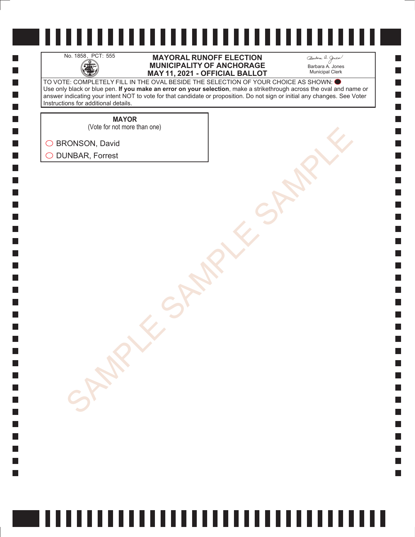H

 $\Box$  $\Box$  $\mathcal{L}_{\mathcal{A}}$  $\Box$ 

#### No. 1858, PCT: 555 **MAYORAL RUNOFF ELECTION**<br>MUNICIPALITY OF ANCHORAGE<br>MAY 11. 2021 - OFFICIAL BALLO **MUNICIPALITY OF ANCHORAGE MAY 11, 2021 - OFFICIAL BALLOT**

Barbara A. Jones Municipal Clerk

**College** 

TO VOTE: COMPLETELY FILL IN THE OVAL BESIDE THE SELECTION OF YOUR CHOICE AS SHOWN: Use only black or blue pen. **If you make an error on your selection**, make a strikethrough across the oval and name or answer indicating your intent NOT to vote for that candidate or proposition. Do not sign or initial any changes. See Voter Instructions for additional details.

> **MAYOR** (Vote for not more than one)

SONSON, David<br>AMBAR, Forrest<br>SAMPLE SAMPLE SAMPLE SAMPLE ◯ BRONSON, David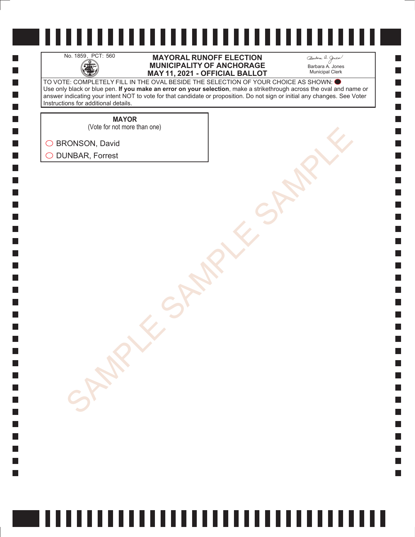H

 $\Box$  $\Box$  $\mathcal{L}_{\mathcal{A}}$  $\Box$ 

#### No. 1859, PCT: 560 **MAYORAL RUNOFF ELECTION**<br>MUNICIPALITY OF ANCHORAGE<br>MAY 11. 2021 - OFFICIAL BALLO **MUNICIPALITY OF ANCHORAGE MAY 11, 2021 - OFFICIAL BALLOT**

Barbara A. Jones Municipal Clerk

**College** 

TO VOTE: COMPLETELY FILL IN THE OVAL BESIDE THE SELECTION OF YOUR CHOICE AS SHOWN: Use only black or blue pen. **If you make an error on your selection**, make a strikethrough across the oval and name or answer indicating your intent NOT to vote for that candidate or proposition. Do not sign or initial any changes. See Voter Instructions for additional details.

**MAYOR**

(Vote for not more than one)

SONSON, David<br>AMBAR, Forrest<br>SAMPLE SAMPLE SAMPLE SAMPLE ◯ BRONSON, David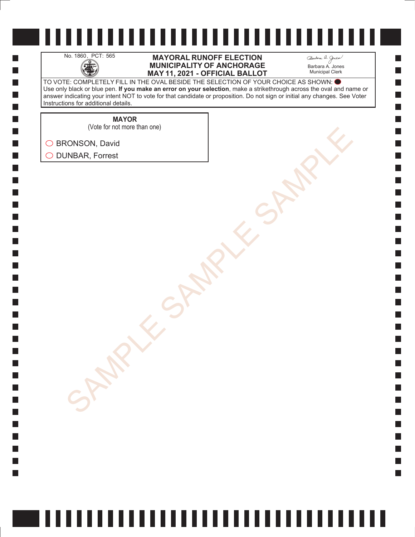H

 $\Box$  $\Box$  $\mathcal{L}_{\mathcal{A}}$  $\Box$ 

#### No. 1860, PCT: 565 **MAYORAL RUNOFF ELECTION**<br>MUNICIPALITY OF ANCHORAGE<br>MAY 11. 2021 - OFFICIAL BALLO **MUNICIPALITY OF ANCHORAGE MAY 11, 2021 - OFFICIAL BALLOT**

Barbara A. Jones Municipal Clerk

**College** 

TO VOTE: COMPLETELY FILL IN THE OVAL BESIDE THE SELECTION OF YOUR CHOICE AS SHOWN: Use only black or blue pen. **If you make an error on your selection**, make a strikethrough across the oval and name or answer indicating your intent NOT to vote for that candidate or proposition. Do not sign or initial any changes. See Voter Instructions for additional details.

**MAYOR**

(Vote for not more than one)

SONSON, David<br>AMBAR, Forrest<br>SAMPLE SAMPLE SAMPLE SAMPLE ◯ BRONSON, David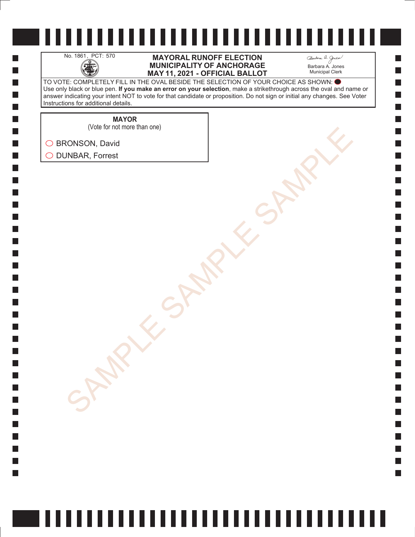H

 $\Box$  $\Box$  $\mathcal{L}_{\mathcal{A}}$  $\Box$ 

#### No. 1861, PCT: 570 **MAYORAL RUNOFF ELECTION**<br>MUNICIPALITY OF ANCHORAGE<br>MAY 11. 2021 - OFFICIAL BALLO **MUNICIPALITY OF ANCHORAGE MAY 11, 2021 - OFFICIAL BALLOT**

Barbara A. Jones Municipal Clerk

**College** 

TO VOTE: COMPLETELY FILL IN THE OVAL BESIDE THE SELECTION OF YOUR CHOICE AS SHOWN: Use only black or blue pen. **If you make an error on your selection**, make a strikethrough across the oval and name or answer indicating your intent NOT to vote for that candidate or proposition. Do not sign or initial any changes. See Voter Instructions for additional details.

**MAYOR**

(Vote for not more than one)

SONSON, David<br>AMBAR, Forrest<br>SAMPLE SAMPLE SAMPLE SAMPLE ◯ BRONSON, David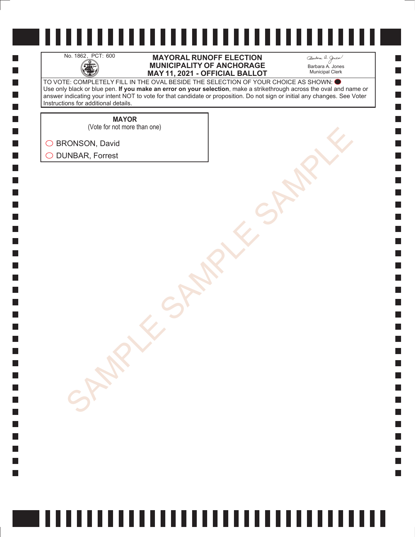H

 $\Box$  $\Box$  $\mathcal{L}_{\mathcal{A}}$  $\Box$ 

#### No. 1862, PCT: 600 **MAYORAL RUNOFF ELECTION**<br>MUNICIPALITY OF ANCHORAGE<br>MAY 11. 2021 - OFFICIAL BALLO **MUNICIPALITY OF ANCHORAGE MAY 11, 2021 - OFFICIAL BALLOT**

Barbara A. Jones Municipal Clerk

**College** 

TO VOTE: COMPLETELY FILL IN THE OVAL BESIDE THE SELECTION OF YOUR CHOICE AS SHOWN: Use only black or blue pen. **If you make an error on your selection**, make a strikethrough across the oval and name or answer indicating your intent NOT to vote for that candidate or proposition. Do not sign or initial any changes. See Voter Instructions for additional details.

**MAYOR**

(Vote for not more than one)

SONSON, David<br>AMBAR, Forrest<br>SAMPLE SAMPLE SAMPLE SAMPLE ◯ BRONSON, David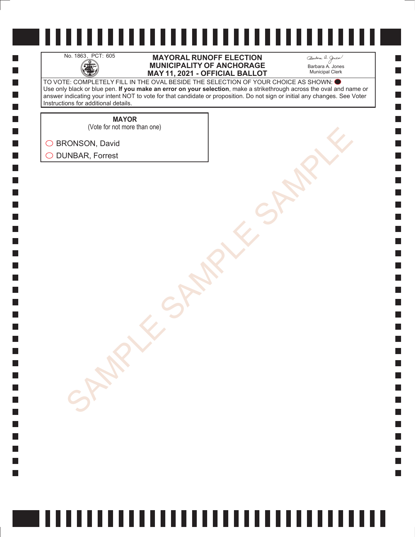H

 $\Box$  $\Box$  $\mathcal{L}_{\mathcal{A}}$  $\Box$ 

#### No. 1863, PCT: 605 **MAYORAL RUNOFF ELECTION**<br>MUNICIPALITY OF ANCHORAGE<br>MAY 11. 2021 - OFFICIAL BALLO **MUNICIPALITY OF ANCHORAGE MAY 11, 2021 - OFFICIAL BALLOT**

Barbara A. Jones Municipal Clerk

**College** 

TO VOTE: COMPLETELY FILL IN THE OVAL BESIDE THE SELECTION OF YOUR CHOICE AS SHOWN: Use only black or blue pen. **If you make an error on your selection**, make a strikethrough across the oval and name or answer indicating your intent NOT to vote for that candidate or proposition. Do not sign or initial any changes. See Voter Instructions for additional details.

**MAYOR**

SONSON, David<br>AMBAR, Forrest<br>SAMPLE SAMPLE SAMPLE SAMPLE (Vote for not more than one)

◯ BRONSON, David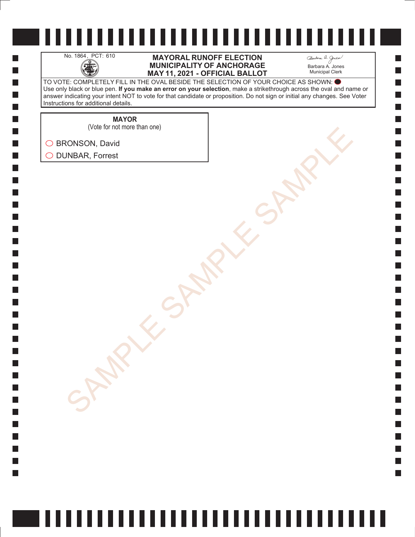

H

 $\Box$  $\Box$  $\mathcal{L}_{\mathcal{A}}$  $\Box$ 

#### No. 1864, PCT: 610 **MAYORAL RUNOFF ELECTION**<br>MUNICIPALITY OF ANCHORAGE<br>MAY 11, 2021 - OFFICIAL BALLO **MUNICIPALITY OF ANCHORAGE MAY 11, 2021 - OFFICIAL BALLOT**

Barbara A. Jones Municipal Clerk

**College** 

TO VOTE: COMPLETELY FILL IN THE OVAL BESIDE THE SELECTION OF YOUR CHOICE AS SHOWN: Use only black or blue pen. **If you make an error on your selection**, make a strikethrough across the oval and name or answer indicating your intent NOT to vote for that candidate or proposition. Do not sign or initial any changes. See Voter Instructions for additional details.

> **MAYOR** (Vote for not more than one)

SONSON, David<br>AMBAR, Forrest<br>SAMPLE SAMPLE SAMPLE SAMPLE

◯ BRONSON, David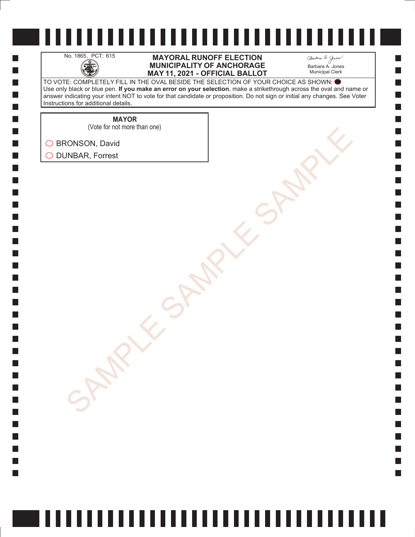H

 $\Box$  $\Box$  $\mathcal{L}_{\mathcal{A}}$  $\Box$ 

#### No. 1865, PCT: 615 **MAYORAL RUNOFF ELECTION**<br>MUNICIPALITY OF ANCHORAGE<br>MAY 11. 2021 - OFFICIAL BALLO **MUNICIPALITY OF ANCHORAGE MAY 11, 2021 - OFFICIAL BALLOT**

Barbara A. Jones Municipal Clerk

**College** 

TO VOTE: COMPLETELY FILL IN THE OVAL BESIDE THE SELECTION OF YOUR CHOICE AS SHOWN: Use only black or blue pen. **If you make an error on your selection**, make a strikethrough across the oval and name or answer indicating your intent NOT to vote for that candidate or proposition. Do not sign or initial any changes. See Voter Instructions for additional details.

**MAYOR**

SONSON, David<br>AMBAR, Forrest<br>SAMPLE SAMPLE SAMPLE SAMPLE (Vote for not more than one)

◯ BRONSON, David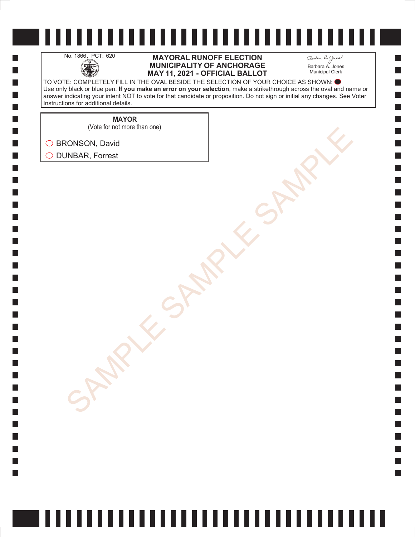

H

 $\Box$  $\Box$  $\mathcal{L}_{\mathcal{A}}$  $\Box$ 

#### No. 1866, PCT: 620 **MAYORAL RUNOFF ELECTION**<br>MUNICIPALITY OF ANCHORAGE<br>MAY 11. 2021 - OFFICIAL BALLO **MUNICIPALITY OF ANCHORAGE MAY 11, 2021 - OFFICIAL BALLOT**

Barbara A. Jones Municipal Clerk

**College** 

TO VOTE: COMPLETELY FILL IN THE OVAL BESIDE THE SELECTION OF YOUR CHOICE AS SHOWN: Use only black or blue pen. **If you make an error on your selection**, make a strikethrough across the oval and name or answer indicating your intent NOT to vote for that candidate or proposition. Do not sign or initial any changes. See Voter Instructions for additional details.

> **MAYOR** (Vote for not more than one)

SONSON, David<br>AMBAR, Forrest<br>SAMPLE SAMPLE SAMPLE SAMPLE ◯ BRONSON, David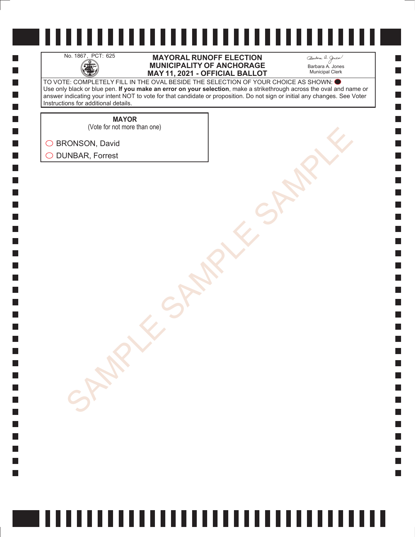H

 $\Box$  $\Box$  $\mathcal{L}_{\mathcal{A}}$  $\Box$ 

#### No. 1867, PCT: 625 **MAYORAL RUNOFF ELECTION**<br>MUNICIPALITY OF ANCHORAGE<br>MAY 11. 2021 - OFFICIAL BALLO **MUNICIPALITY OF ANCHORAGE MAY 11, 2021 - OFFICIAL BALLOT**

Barbara A. Jones Municipal Clerk

**College** 

TO VOTE: COMPLETELY FILL IN THE OVAL BESIDE THE SELECTION OF YOUR CHOICE AS SHOWN: Use only black or blue pen. **If you make an error on your selection**, make a strikethrough across the oval and name or answer indicating your intent NOT to vote for that candidate or proposition. Do not sign or initial any changes. See Voter Instructions for additional details.

**MAYOR**

(Vote for not more than one)

SONSON, David<br>AMBAR, Forrest<br>SAMPLE SAMPLE SAMPLE SAMPLE ◯ BRONSON, David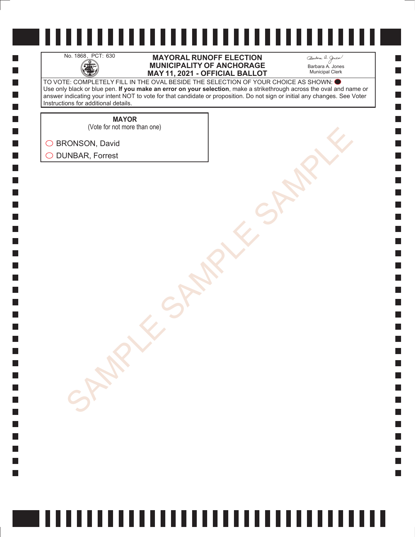H

 $\Box$  $\Box$  $\mathcal{L}_{\mathcal{A}}$  $\Box$ 

#### No. 1868, PCT: 630 **MAYORAL RUNOFF ELECTION**<br>MUNICIPALITY OF ANCHORAGE<br>MAY 11. 2021 - OFFICIAL BALLO **MUNICIPALITY OF ANCHORAGE MAY 11, 2021 - OFFICIAL BALLOT**

Barbara A. Jones Municipal Clerk

**Simple** 

TO VOTE: COMPLETELY FILL IN THE OVAL BESIDE THE SELECTION OF YOUR CHOICE AS SHOWN: Use only black or blue pen. **If you make an error on your selection**, make a strikethrough across the oval and name or answer indicating your intent NOT to vote for that candidate or proposition. Do not sign or initial any changes. See Voter Instructions for additional details.

**MAYOR**

(Vote for not more than one)

SONSON, David<br>AMBAR, Forrest<br>SAMPLE SAMPLE SAMPLE SAMPLE ◯ BRONSON, David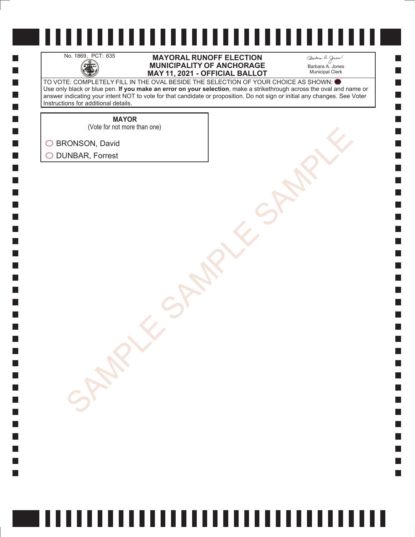H

 $\Box$  $\Box$  $\mathcal{L}_{\mathcal{A}}$  $\Box$ 

#### No. 1869, PCT: 635 **MAYORAL RUNOFF ELECTION**<br>MUNICIPALITY OF ANCHORAGE<br>MAY 11. 2021 - OFFICIAL BALLO **MUNICIPALITY OF ANCHORAGE MAY 11, 2021 - OFFICIAL BALLOT**

Barbara A. Jones Municipal Clerk

**Simple** 

TO VOTE: COMPLETELY FILL IN THE OVAL BESIDE THE SELECTION OF YOUR CHOICE AS SHOWN: Use only black or blue pen. **If you make an error on your selection**, make a strikethrough across the oval and name or answer indicating your intent NOT to vote for that candidate or proposition. Do not sign or initial any changes. See Voter Instructions for additional details.

**MAYOR**

(Vote for not more than one)

SONSON, David<br>AMBAR, Forrest<br>SAMPLE SAMPLE SAMPLE SAMPLE ◯ BRONSON, David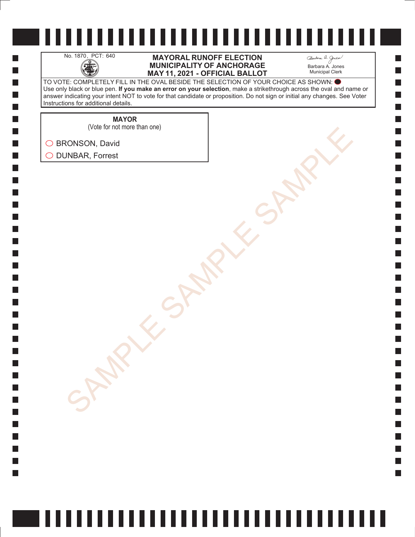H

 $\Box$  $\Box$  $\mathcal{L}_{\mathcal{A}}$  $\Box$ 

#### No. 1870, PCT: 640 **MAYORAL RUNOFF ELECTION**<br>MUNICIPALITY OF ANCHORAGE<br>MAY 11. 2021 - OFFICIAL BALLO **MUNICIPALITY OF ANCHORAGE MAY 11, 2021 - OFFICIAL BALLOT**

Barbara A. Jones Municipal Clerk

**Simple** 

TO VOTE: COMPLETELY FILL IN THE OVAL BESIDE THE SELECTION OF YOUR CHOICE AS SHOWN: Use only black or blue pen. **If you make an error on your selection**, make a strikethrough across the oval and name or answer indicating your intent NOT to vote for that candidate or proposition. Do not sign or initial any changes. See Voter Instructions for additional details.

> **MAYOR** (Vote for not more than one)

SONSON, David<br>AMBAR, Forrest<br>SAMPLE SAMPLE SAMPLE SAMPLE

◯ BRONSON, David O DUNBAR, Forrest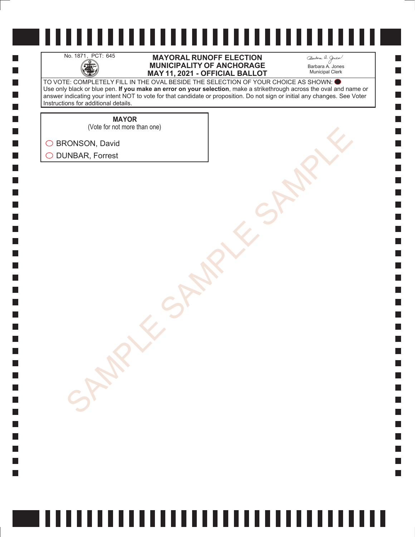H

 $\Box$  $\Box$  $\mathcal{L}_{\mathcal{A}}$  $\Box$ 

#### No. 1871, PCT: 645 **MAYORAL RUNOFF ELECTION**<br>MUNICIPALITY OF ANCHORAGE<br>MAY 11. 2021 - OFFICIAL BALLO **MUNICIPALITY OF ANCHORAGE MAY 11, 2021 - OFFICIAL BALLOT**

Barbara A. Jones Municipal Clerk

**Simple** 

TO VOTE: COMPLETELY FILL IN THE OVAL BESIDE THE SELECTION OF YOUR CHOICE AS SHOWN: Use only black or blue pen. **If you make an error on your selection**, make a strikethrough across the oval and name or answer indicating your intent NOT to vote for that candidate or proposition. Do not sign or initial any changes. See Voter Instructions for additional details.

**MAYOR**

(Vote for not more than one)

SONSON, David<br>AMBAR, Forrest<br>SAMPLE SAMPLE SAMPLE SAMPLE ◯ BRONSON, David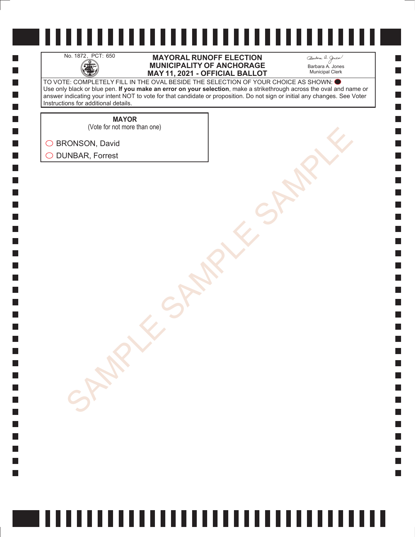H

 $\Box$  $\Box$  $\mathcal{L}_{\mathcal{A}}$  $\Box$ 

### No. 1872, PCT: 650 **MAYORAL RUNOFF ELECTION**<br>MUNICIPALITY OF ANCHORAGE<br>MAY 11. 2021 - OFFICIAL BALLO **MUNICIPALITY OF ANCHORAGE MAY 11, 2021 - OFFICIAL BALLOT**

Barbara A. Jones Municipal Clerk

**College** 

TO VOTE: COMPLETELY FILL IN THE OVAL BESIDE THE SELECTION OF YOUR CHOICE AS SHOWN: Use only black or blue pen. **If you make an error on your selection**, make a strikethrough across the oval and name or answer indicating your intent NOT to vote for that candidate or proposition. Do not sign or initial any changes. See Voter Instructions for additional details.

**MAYOR**

(Vote for not more than one)

SONSON, David<br>AMBAR, Forrest<br>SAMPLE SAMPLE SAMPLE SAMPLE ◯ BRONSON, David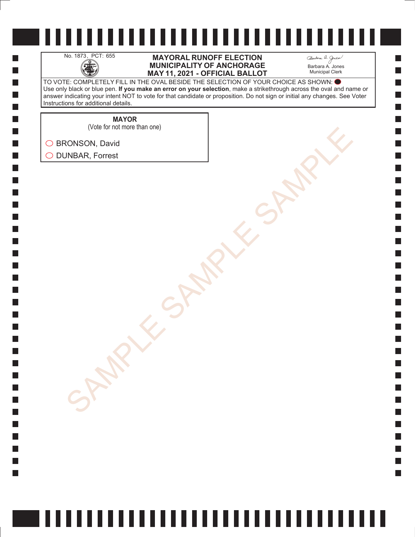H

 $\Box$  $\Box$  $\mathcal{L}_{\mathcal{A}}$  $\Box$ 

### No. 1873, PCT: 655 **MAYORAL RUNOFF ELECTION**<br>MUNICIPALITY OF ANCHORAGE<br>MAY 11. 2021 - OFFICIAL BALLO **MUNICIPALITY OF ANCHORAGE MAY 11, 2021 - OFFICIAL BALLOT**

Barbara A. Jones Municipal Clerk

**College** 

TO VOTE: COMPLETELY FILL IN THE OVAL BESIDE THE SELECTION OF YOUR CHOICE AS SHOWN: Use only black or blue pen. **If you make an error on your selection**, make a strikethrough across the oval and name or answer indicating your intent NOT to vote for that candidate or proposition. Do not sign or initial any changes. See Voter Instructions for additional details.

> **MAYOR** (Vote for not more than one)

SONSON, David<br>AMBAR, Forrest<br>SAMPLE SAMPLE SAMPLE SAMPLE ◯ BRONSON, David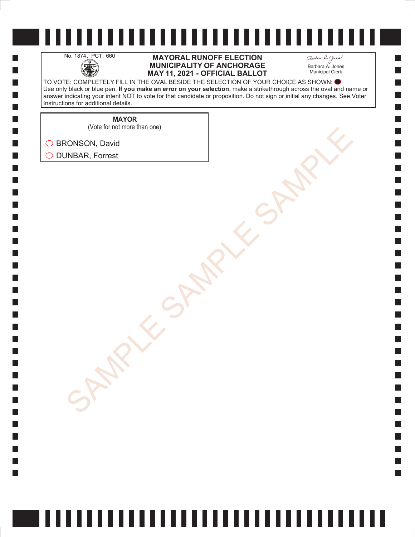H

 $\Box$  $\Box$  $\mathcal{L}_{\mathcal{A}}$  $\Box$ 

#### No. 1874, PCT: 660 **MAYORAL RUNOFF ELECTION**<br>MUNICIPALITY OF ANCHORAGE<br>MAY 11, 2021 - OFFICIAL BALLO **MUNICIPALITY OF ANCHORAGE MAY 11, 2021 - OFFICIAL BALLOT**

Barbara A. Jones Municipal Clerk

**College** 

TO VOTE: COMPLETELY FILL IN THE OVAL BESIDE THE SELECTION OF YOUR CHOICE AS SHOWN: Use only black or blue pen. **If you make an error on your selection**, make a strikethrough across the oval and name or answer indicating your intent NOT to vote for that candidate or proposition. Do not sign or initial any changes. See Voter Instructions for additional details.

**MAYOR**

SONSON, David<br>AMBAR, Forrest<br>SAMPLE SAMPLE SAMPLE SAMPLE (Vote for not more than one)

◯ BRONSON, David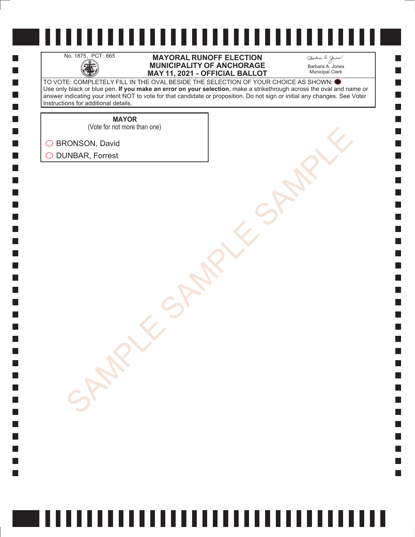H

 $\Box$  $\Box$  $\mathcal{L}_{\mathcal{A}}$  $\Box$ 

#### No. 1875, PCT: 665 **MAYORAL RUNOFF ELECTION**<br>MUNICIPALITY OF ANCHORAGE<br>MAY 11. 2021 - OFFICIAL BALLO **MUNICIPALITY OF ANCHORAGE MAY 11, 2021 - OFFICIAL BALLOT**

Barbara A. Jones Municipal Clerk

**College** 

TO VOTE: COMPLETELY FILL IN THE OVAL BESIDE THE SELECTION OF YOUR CHOICE AS SHOWN: Use only black or blue pen. **If you make an error on your selection**, make a strikethrough across the oval and name or answer indicating your intent NOT to vote for that candidate or proposition. Do not sign or initial any changes. See Voter Instructions for additional details.

> **MAYOR** (Vote for not more than one)

SONSON, David<br>AMBAR, Forrest<br>SAMPLE SAMPLE SAMPLE SAMPLE ◯ BRONSON, David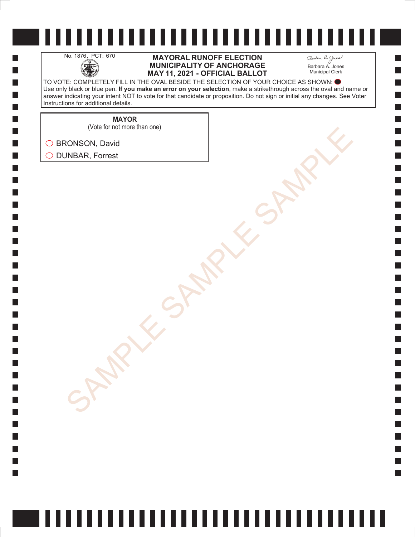H

 $\Box$  $\Box$  $\mathcal{L}_{\mathcal{A}}$  $\Box$ 

### No. 1876, PCT: 670 **MAYORAL RUNOFF ELECTION**<br>MUNICIPALITY OF ANCHORAGE<br>MAY 11. 2021 - OFFICIAL BALLO **MUNICIPALITY OF ANCHORAGE MAY 11, 2021 - OFFICIAL BALLOT**

Barbara A. Jones Municipal Clerk

**College** 

TO VOTE: COMPLETELY FILL IN THE OVAL BESIDE THE SELECTION OF YOUR CHOICE AS SHOWN: Use only black or blue pen. **If you make an error on your selection**, make a strikethrough across the oval and name or answer indicating your intent NOT to vote for that candidate or proposition. Do not sign or initial any changes. See Voter Instructions for additional details.

**MAYOR**

(Vote for not more than one)

SONSON, David<br>AMBAR, Forrest<br>SAMPLE SAMPLE SAMPLE SAMPLE ◯ BRONSON, David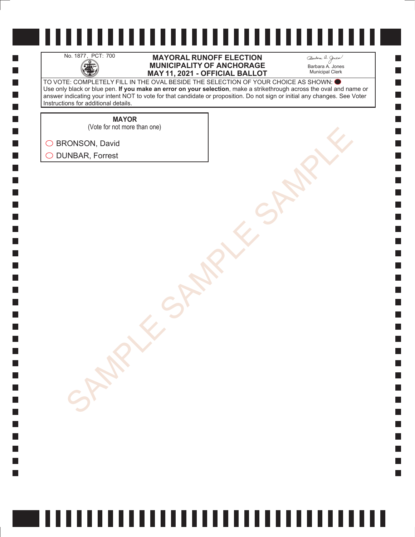H

 $\Box$  $\Box$  $\mathcal{L}_{\mathcal{A}}$  $\Box$ 

### No. 1877, PCT: 700 **MAYORAL RUNOFF ELECTION**<br>MUNICIPALITY OF ANCHORAGE<br>MAY 11. 2021 - OFFICIAL BALLO **MUNICIPALITY OF ANCHORAGE MAY 11, 2021 - OFFICIAL BALLOT**

Barbara A. Jones Municipal Clerk

**College** 

TO VOTE: COMPLETELY FILL IN THE OVAL BESIDE THE SELECTION OF YOUR CHOICE AS SHOWN: Use only black or blue pen. **If you make an error on your selection**, make a strikethrough across the oval and name or answer indicating your intent NOT to vote for that candidate or proposition. Do not sign or initial any changes. See Voter Instructions for additional details.

> **MAYOR** (Vote for not more than one)

SONSON, David<br>AMBAR, Forrest<br>SAMPLE SAMPLE SAMPLE SAMPLE ◯ BRONSON, David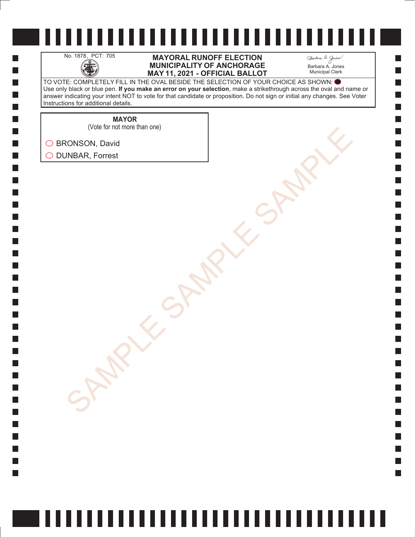H

 $\Box$  $\Box$  $\mathcal{L}_{\mathcal{A}}$  $\Box$ 

### No. 1878, PCT: 705 **MAYORAL RUNOFF ELECTION**<br>MUNICIPALITY OF ANCHORAGE<br>MAY 11. 2021 - OFFICIAL BALLO **MUNICIPALITY OF ANCHORAGE MAY 11, 2021 - OFFICIAL BALLOT**

Barbara A. Jones Municipal Clerk

**College** 

TO VOTE: COMPLETELY FILL IN THE OVAL BESIDE THE SELECTION OF YOUR CHOICE AS SHOWN: Use only black or blue pen. **If you make an error on your selection**, make a strikethrough across the oval and name or answer indicating your intent NOT to vote for that candidate or proposition. Do not sign or initial any changes. See Voter Instructions for additional details.

**MAYOR**

(Vote for not more than one)

SONSON, David<br>AMBAR, Forrest<br>SAMPLE SAMPLE SAMPLE SAMPLE ◯ BRONSON, David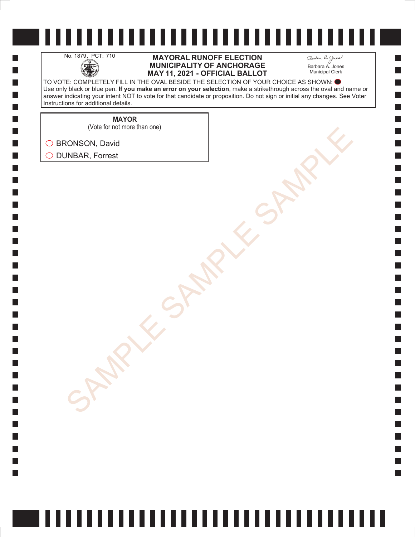H

 $\Box$  $\Box$  $\mathcal{L}_{\mathcal{A}}$  $\Box$ 

### No. 1879, PCT: 710 **MAYORAL RUNOFF ELECTION**<br>MUNICIPALITY OF ANCHORAGE<br>MAY 11. 2021 - OFFICIAL BALLO **MUNICIPALITY OF ANCHORAGE MAY 11, 2021 - OFFICIAL BALLOT**

Barbara A. Jones Municipal Clerk

**College** 

TO VOTE: COMPLETELY FILL IN THE OVAL BESIDE THE SELECTION OF YOUR CHOICE AS SHOWN: Use only black or blue pen. **If you make an error on your selection**, make a strikethrough across the oval and name or answer indicating your intent NOT to vote for that candidate or proposition. Do not sign or initial any changes. See Voter Instructions for additional details.

**MAYOR**

SONSON, David<br>AMBAR, Forrest<br>SAMPLE SAMPLE SAMPLE SAMPLE (Vote for not more than one)

◯ BRONSON, David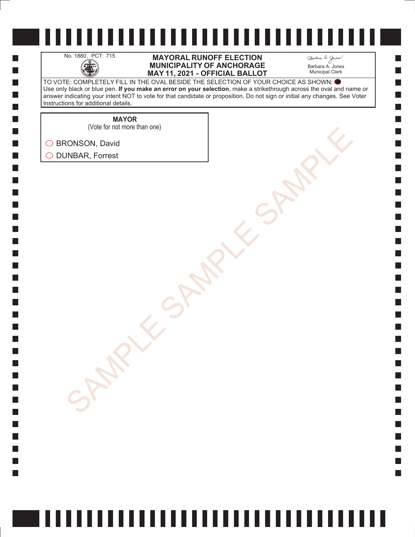H

 $\Box$  $\Box$  $\mathcal{L}_{\mathcal{A}}$  $\Box$ 

### No. 1880, PCT: 715 **MAYORAL RUNOFF ELECTION**<br>MUNICIPALITY OF ANCHORAGE<br>MAY 11. 2021 - OFFICIAL BALLO **MUNICIPALITY OF ANCHORAGE MAY 11, 2021 - OFFICIAL BALLOT**

Barbara A. Jones Municipal Clerk

**College** 

TO VOTE: COMPLETELY FILL IN THE OVAL BESIDE THE SELECTION OF YOUR CHOICE AS SHOWN: Use only black or blue pen. **If you make an error on your selection**, make a strikethrough across the oval and name or answer indicating your intent NOT to vote for that candidate or proposition. Do not sign or initial any changes. See Voter Instructions for additional details.

**MAYOR**

(Vote for not more than one)

SONSON, David<br>AMBAR, Forrest<br>SAMPLE SAMPLE SAMPLE SAMPLE ◯ BRONSON, David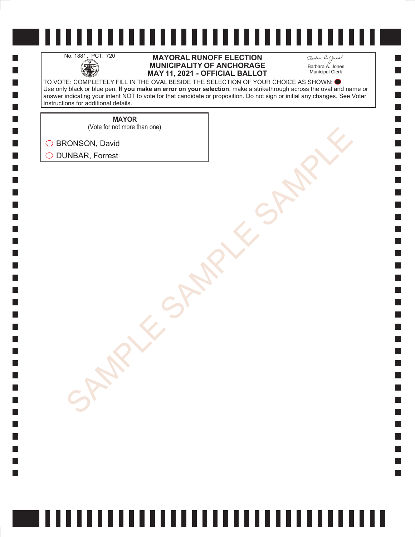H

 $\Box$  $\Box$  $\mathcal{L}_{\mathcal{A}}$  $\Box$ 

### No. 1881, PCT: 720 **MAYORAL RUNOFF ELECTION**<br>MUNICIPALITY OF ANCHORAGE<br>MAY 11. 2021 - OFFICIAL BALLO **MUNICIPALITY OF ANCHORAGE MAY 11, 2021 - OFFICIAL BALLOT**

Barbara A. Jones Municipal Clerk

**College** 

TO VOTE: COMPLETELY FILL IN THE OVAL BESIDE THE SELECTION OF YOUR CHOICE AS SHOWN: Use only black or blue pen. **If you make an error on your selection**, make a strikethrough across the oval and name or answer indicating your intent NOT to vote for that candidate or proposition. Do not sign or initial any changes. See Voter Instructions for additional details.

> **MAYOR** (Vote for not more than one)

SONSON, David<br>AMBAR, Forrest<br>SAMPLE SAMPLE SAMPLE SAMPLE

◯ BRONSON, David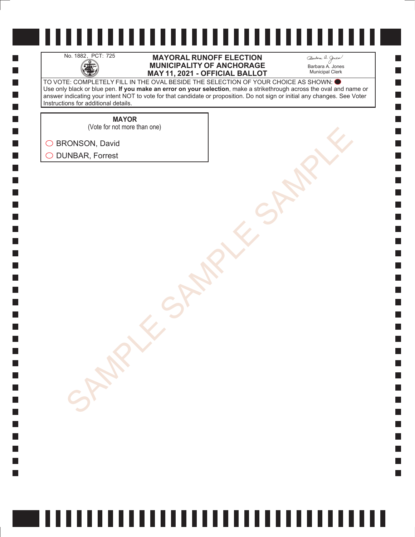H

 $\Box$  $\Box$  $\mathcal{L}_{\mathcal{A}}$  $\Box$ 

### No. 1882, PCT: 725 **MAYORAL RUNOFF ELECTION**<br>MUNICIPALITY OF ANCHORAGE<br>MAY 11. 2021 - OFFICIAL BALLO **MUNICIPALITY OF ANCHORAGE MAY 11, 2021 - OFFICIAL BALLOT**

Barbara A. Jones Municipal Clerk

**College** 

TO VOTE: COMPLETELY FILL IN THE OVAL BESIDE THE SELECTION OF YOUR CHOICE AS SHOWN: Use only black or blue pen. **If you make an error on your selection**, make a strikethrough across the oval and name or answer indicating your intent NOT to vote for that candidate or proposition. Do not sign or initial any changes. See Voter Instructions for additional details.

> **MAYOR** (Vote for not more than one)

SONSON, David<br>AMBAR, Forrest<br>SAMPLE SAMPLE SAMPLE SAMPLE ◯ BRONSON, David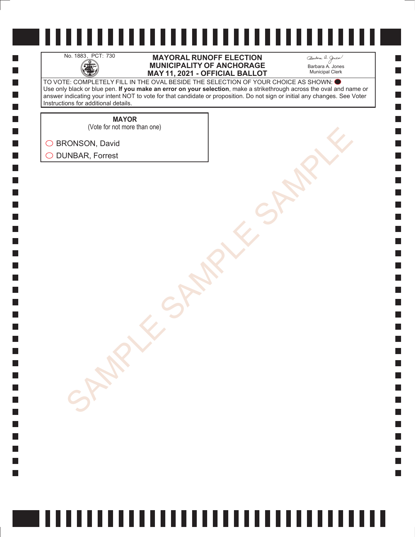H

 $\Box$  $\Box$  $\mathcal{L}_{\mathcal{A}}$  $\Box$ 

### No. 1883, PCT: 730 **MAYORAL RUNOFF ELECTION**<br>MUNICIPALITY OF ANCHORAGE<br>MAY 11. 2021 - OFFICIAL BALLO **MUNICIPALITY OF ANCHORAGE MAY 11, 2021 - OFFICIAL BALLOT**

Barbara A. Jones Municipal Clerk

**College** 

TO VOTE: COMPLETELY FILL IN THE OVAL BESIDE THE SELECTION OF YOUR CHOICE AS SHOWN: Use only black or blue pen. **If you make an error on your selection**, make a strikethrough across the oval and name or answer indicating your intent NOT to vote for that candidate or proposition. Do not sign or initial any changes. See Voter Instructions for additional details.

**MAYOR**

(Vote for not more than one)

SONSON, David<br>AMBAR, Forrest<br>SAMPLE SAMPLE SAMPLE SAMPLE ◯ BRONSON, David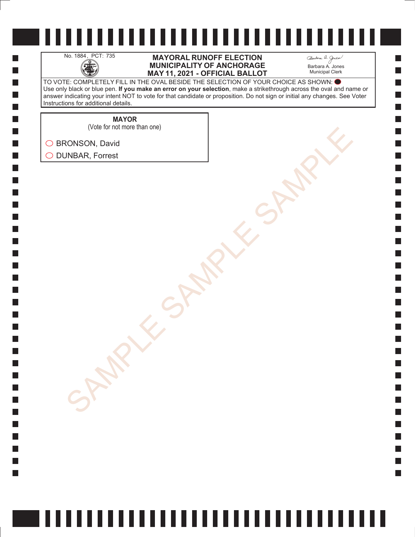H

 $\Box$  $\Box$  $\mathcal{L}_{\mathcal{A}}$  $\Box$ 

### No. 1884, PCT: 735 **MAYORAL RUNOFF ELECTION**<br>MUNICIPALITY OF ANCHORAGE<br>MAY 11. 2021 - OFFICIAL BALLO **MUNICIPALITY OF ANCHORAGE MAY 11, 2021 - OFFICIAL BALLOT**

Barbara A. Jones Municipal Clerk

**College** 

TO VOTE: COMPLETELY FILL IN THE OVAL BESIDE THE SELECTION OF YOUR CHOICE AS SHOWN: Use only black or blue pen. **If you make an error on your selection**, make a strikethrough across the oval and name or answer indicating your intent NOT to vote for that candidate or proposition. Do not sign or initial any changes. See Voter Instructions for additional details.

**MAYOR**

(Vote for not more than one)

SONSON, David<br>AMBAR, Forrest<br>SAMPLE SAMPLE SAMPLE SAMPLE ◯ BRONSON, David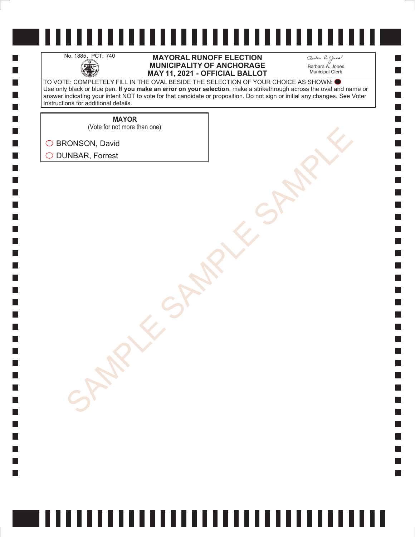H

 $\Box$  $\Box$  $\mathcal{L}_{\mathcal{A}}$  $\Box$ 

### No. 1885, PCT: 740 **MAYORAL RUNOFF ELECTION**<br>MUNICIPALITY OF ANCHORAGE<br>MAY 11. 2021 - OFFICIAL BALLO **MUNICIPALITY OF ANCHORAGE MAY 11, 2021 - OFFICIAL BALLOT**

Barbara A. Jones Municipal Clerk

**College** 

TO VOTE: COMPLETELY FILL IN THE OVAL BESIDE THE SELECTION OF YOUR CHOICE AS SHOWN: Use only black or blue pen. **If you make an error on your selection**, make a strikethrough across the oval and name or answer indicating your intent NOT to vote for that candidate or proposition. Do not sign or initial any changes. See Voter Instructions for additional details.

**MAYOR**

SONSON, David<br>AMBAR, Forrest<br>SAMPLE SAMPLE SAMPLE SAMPLE (Vote for not more than one)

◯ BRONSON, David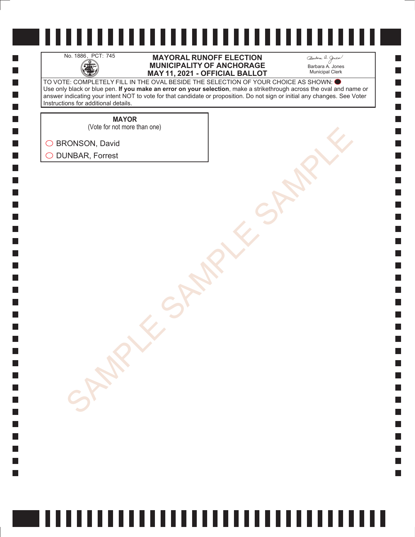H

 $\Box$  $\Box$  $\mathcal{L}_{\mathcal{A}}$  $\Box$ 

No. 1886, PCT: 745 **MAYORAL RUNOFF ELECTION**<br>MUNICIPALITY OF ANCHORAGE<br>MAY 11. 2021 - OFFICIAL BALLO **MUNICIPALITY OF ANCHORAGE MAY 11, 2021 - OFFICIAL BALLOT** Barbara A. Jones Municipal Clerk

TO VOTE: COMPLETELY FILL IN THE OVAL BESIDE THE SELECTION OF YOUR CHOICE AS SHOWN: Use only black or blue pen. **If you make an error on your selection**, make a strikethrough across the oval and name or answer indicating your intent NOT to vote for that candidate or proposition. Do not sign or initial any changes. See Voter Instructions for additional details.

> **MAYOR** (Vote for not more than one)

SONSON, David<br>AMBAR, Forrest<br>SAMPLE SAMPLE SAMPLE SAMPLE ◯ BRONSON, David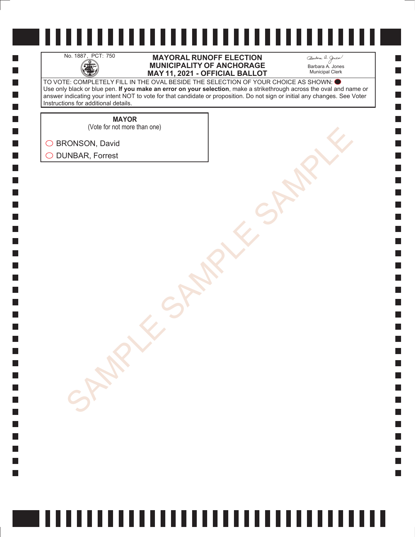H

 $\Box$  $\Box$  $\mathcal{L}_{\mathcal{A}}$  $\Box$ 

### No. 1887, PCT: 750 **MAYORAL RUNOFF ELECTION**<br>MUNICIPALITY OF ANCHORAGE<br>MAY 11. 2021 - OFFICIAL BALLO **MUNICIPALITY OF ANCHORAGE MAY 11, 2021 - OFFICIAL BALLOT**

Barbara A. Jones Municipal Clerk

**College** 

TO VOTE: COMPLETELY FILL IN THE OVAL BESIDE THE SELECTION OF YOUR CHOICE AS SHOWN: Use only black or blue pen. **If you make an error on your selection**, make a strikethrough across the oval and name or answer indicating your intent NOT to vote for that candidate or proposition. Do not sign or initial any changes. See Voter Instructions for additional details.

**MAYOR**

SONSON, David<br>AMBAR, Forrest<br>SAMPLE SAMPLE SAMPLE SAMPLE (Vote for not more than one)

◯ BRONSON, David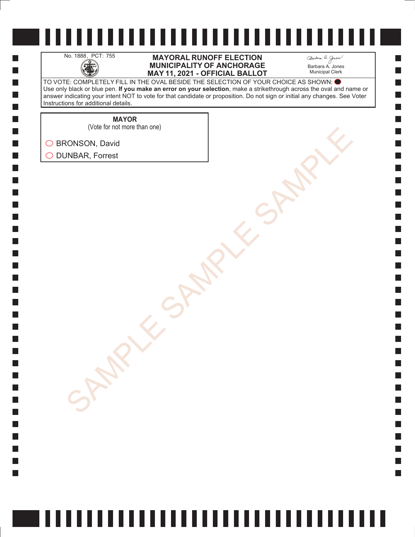H

 $\Box$  $\Box$  $\mathcal{L}_{\mathcal{A}}$  $\Box$ 

### No. 1888, PCT: 755 **MAYORAL RUNOFF ELECTION**<br>MUNICIPALITY OF ANCHORAGE<br>MAY 11. 2021 - OFFICIAL BALLO **MUNICIPALITY OF ANCHORAGE MAY 11, 2021 - OFFICIAL BALLOT**

Barbara A. Jones Municipal Clerk

**College** 

TO VOTE: COMPLETELY FILL IN THE OVAL BESIDE THE SELECTION OF YOUR CHOICE AS SHOWN: Use only black or blue pen. **If you make an error on your selection**, make a strikethrough across the oval and name or answer indicating your intent NOT to vote for that candidate or proposition. Do not sign or initial any changes. See Voter Instructions for additional details.

**MAYOR**

SONSON, David<br>AMBAR, Forrest<br>SAMPLE SAMPLE SAMPLE SAMPLE (Vote for not more than one)

◯ BRONSON, David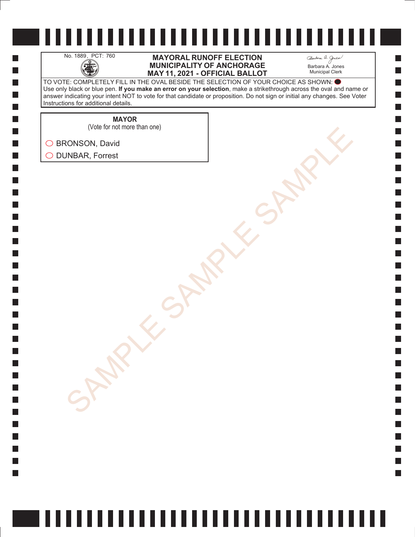H

 $\Box$  $\Box$  $\mathcal{L}_{\mathcal{A}}$  $\Box$ 

#### No. 1889, PCT: 760 **MAYORAL RUNOFF ELECTION**<br>MUNICIPALITY OF ANCHORAGE<br>MAY 11. 2021 - OFFICIAL BALLO **MUNICIPALITY OF ANCHORAGE MAY 11, 2021 - OFFICIAL BALLOT**

Barbara A. Jones Municipal Clerk

TO VOTE: COMPLETELY FILL IN THE OVAL BESIDE THE SELECTION OF YOUR CHOICE AS SHOWN: Use only black or blue pen. **If you make an error on your selection**, make a strikethrough across the oval and name or answer indicating your intent NOT to vote for that candidate or proposition. Do not sign or initial any changes. See Voter Instructions for additional details.

**MAYOR**

(Vote for not more than one)

SONSON, David<br>AMBAR, Forrest<br>SAMPLE SAMPLE SAMPLE SAMPLE ◯ BRONSON, David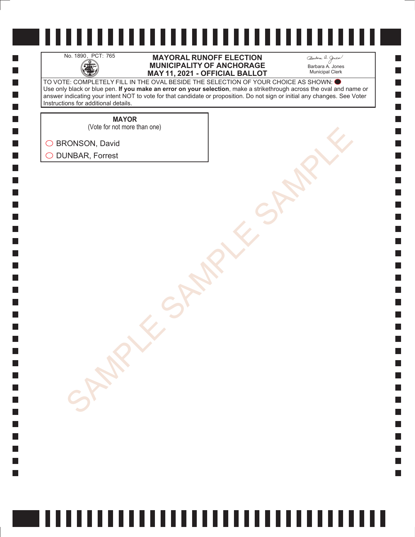H

 $\Box$  $\Box$  $\mathcal{L}_{\mathcal{A}}$  $\Box$ 

### No. 1890, PCT: 765 **MAYORAL RUNOFF ELECTION**<br>MUNICIPALITY OF ANCHORAGE<br>MAY 11. 2021 - OFFICIAL BALLO **MUNICIPALITY OF ANCHORAGE MAY 11, 2021 - OFFICIAL BALLOT**

Barbara A. Jones Municipal Clerk

TO VOTE: COMPLETELY FILL IN THE OVAL BESIDE THE SELECTION OF YOUR CHOICE AS SHOWN: Use only black or blue pen. **If you make an error on your selection**, make a strikethrough across the oval and name or answer indicating your intent NOT to vote for that candidate or proposition. Do not sign or initial any changes. See Voter Instructions for additional details.

**MAYOR**

(Vote for not more than one)

SONSON, David<br>AMBAR, Forrest<br>SAMPLE SAMPLE SAMPLE SAMPLE ◯ BRONSON, David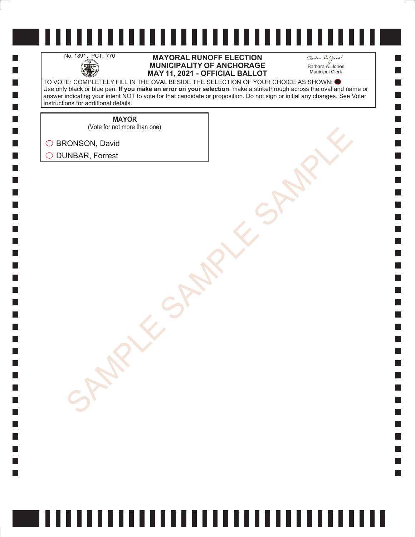H

 $\Box$  $\Box$  $\mathcal{L}_{\mathcal{A}}$  $\Box$ 

### No. 1891, PCT: 770 **MAYORAL RUNOFF ELECTION**<br>MUNICIPALITY OF ANCHORAGE<br>MAY 11. 2021 - OFFICIAL BALLO **MUNICIPALITY OF ANCHORAGE MAY 11, 2021 - OFFICIAL BALLOT**

Barbara A. Jones Municipal Clerk

**College** 

TO VOTE: COMPLETELY FILL IN THE OVAL BESIDE THE SELECTION OF YOUR CHOICE AS SHOWN: Use only black or blue pen. **If you make an error on your selection**, make a strikethrough across the oval and name or answer indicating your intent NOT to vote for that candidate or proposition. Do not sign or initial any changes. See Voter Instructions for additional details.

**MAYOR**

SONSON, David<br>AMBAR, Forrest<br>SAMPLE SAMPLE SAMPLE SAMPLE (Vote for not more than one)

◯ BRONSON, David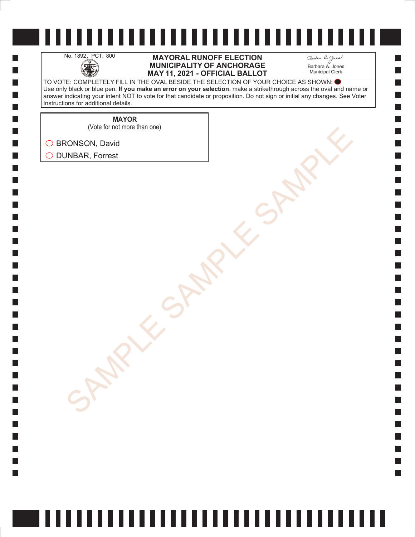H

 $\Box$  $\Box$  $\mathcal{L}_{\mathcal{A}}$  $\Box$ 

#### No. 1892, PCT: 800 **MAYORAL RUNOFF ELECTION**<br>MUNICIPALITY OF ANCHORAGE<br>MAY 11. 2021 - OFFICIAL BALLO **MUNICIPALITY OF ANCHORAGE MAY 11, 2021 - OFFICIAL BALLOT**

Barbara A. Jones Municipal Clerk

**College** 

TO VOTE: COMPLETELY FILL IN THE OVAL BESIDE THE SELECTION OF YOUR CHOICE AS SHOWN: Use only black or blue pen. **If you make an error on your selection**, make a strikethrough across the oval and name or answer indicating your intent NOT to vote for that candidate or proposition. Do not sign or initial any changes. See Voter Instructions for additional details.

**MAYOR**

(Vote for not more than one)

SONSON, David<br>AMBAR, Forrest<br>SAMPLE SAMPLE SAMPLE SAMPLE ◯ BRONSON, David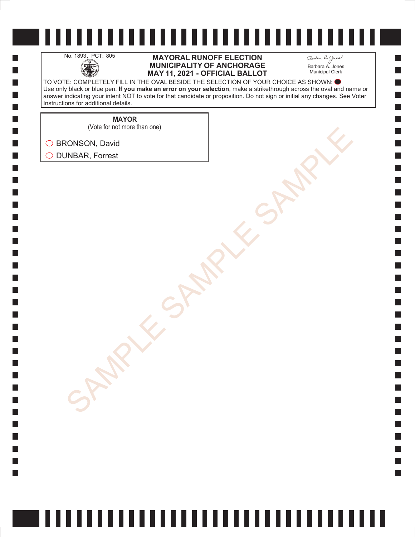H

 $\Box$  $\Box$  $\mathcal{L}_{\mathcal{A}}$  $\Box$ 

#### No. 1893, PCT: 805 **MAYORAL RUNOFF ELECTION**<br>MUNICIPALITY OF ANCHORAGE<br>MAY 11. 2021 - OFFICIAL BALLO **MUNICIPALITY OF ANCHORAGE MAY 11, 2021 - OFFICIAL BALLOT**

Barbara A. Jones Municipal Clerk

**College** 

TO VOTE: COMPLETELY FILL IN THE OVAL BESIDE THE SELECTION OF YOUR CHOICE AS SHOWN: Use only black or blue pen. **If you make an error on your selection**, make a strikethrough across the oval and name or answer indicating your intent NOT to vote for that candidate or proposition. Do not sign or initial any changes. See Voter Instructions for additional details.

**MAYOR**

(Vote for not more than one)

SONSON, David<br>AMBAR, Forrest<br>SAMPLE SAMPLE SAMPLE SAMPLE ◯ BRONSON, David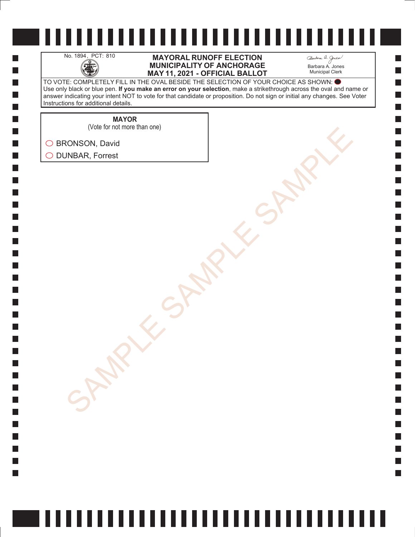H

 $\Box$  $\Box$  $\mathcal{L}_{\mathcal{A}}$  $\Box$ 

### No. 1894, PCT: 810 **MAYORAL RUNOFF ELECTION**<br>MUNICIPALITY OF ANCHORAGE<br>MAY 11. 2021 - OFFICIAL BALLO **MUNICIPALITY OF ANCHORAGE MAY 11, 2021 - OFFICIAL BALLOT**

Barbara A. Jones Municipal Clerk

**College** 

TO VOTE: COMPLETELY FILL IN THE OVAL BESIDE THE SELECTION OF YOUR CHOICE AS SHOWN: Use only black or blue pen. **If you make an error on your selection**, make a strikethrough across the oval and name or answer indicating your intent NOT to vote for that candidate or proposition. Do not sign or initial any changes. See Voter Instructions for additional details.

**MAYOR**

SONSON, David<br>AMBAR, Forrest<br>SAMPLE SAMPLE SAMPLE SAMPLE (Vote for not more than one)

◯ BRONSON, David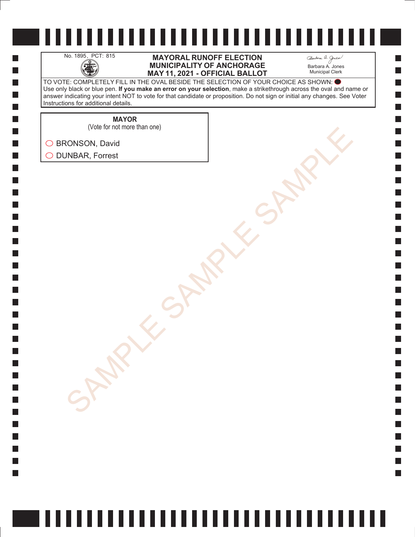H

 $\Box$  $\Box$  $\mathcal{L}_{\mathcal{A}}$  $\Box$ 

### No. 1895, PCT: 815 **MAYORAL RUNOFF ELECTION**<br>MUNICIPALITY OF ANCHORAGE<br>MAY 11. 2021 - OFFICIAL BALLO **MUNICIPALITY OF ANCHORAGE MAY 11, 2021 - OFFICIAL BALLOT**

Barbara A. Jones Municipal Clerk

**College** 

TO VOTE: COMPLETELY FILL IN THE OVAL BESIDE THE SELECTION OF YOUR CHOICE AS SHOWN: Use only black or blue pen. **If you make an error on your selection**, make a strikethrough across the oval and name or answer indicating your intent NOT to vote for that candidate or proposition. Do not sign or initial any changes. See Voter Instructions for additional details.

**MAYOR**

(Vote for not more than one)

SONSON, David<br>AMBAR, Forrest<br>SAMPLE SAMPLE SAMPLE SAMPLE ◯ BRONSON, David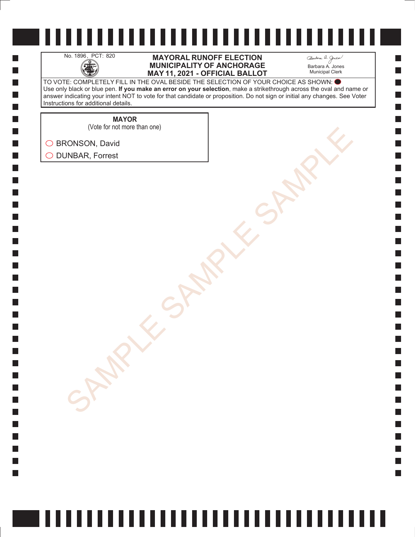H

 $\Box$  $\Box$  $\mathcal{L}_{\mathcal{A}}$  $\Box$ 

#### No. 1896, PCT: 820 **MAYORAL RUNOFF ELECTION**<br>MUNICIPALITY OF ANCHORAGE<br>MAY 11. 2021 - OFFICIAL BALLO **MUNICIPALITY OF ANCHORAGE MAY 11, 2021 - OFFICIAL BALLOT**

Barbara A. Jones Municipal Clerk

**College** 

TO VOTE: COMPLETELY FILL IN THE OVAL BESIDE THE SELECTION OF YOUR CHOICE AS SHOWN: Use only black or blue pen. **If you make an error on your selection**, make a strikethrough across the oval and name or answer indicating your intent NOT to vote for that candidate or proposition. Do not sign or initial any changes. See Voter Instructions for additional details.

**MAYOR**

(Vote for not more than one)

SONSON, David<br>AMBAR, Forrest<br>SAMPLE SAMPLE SAMPLE SAMPLE ◯ BRONSON, David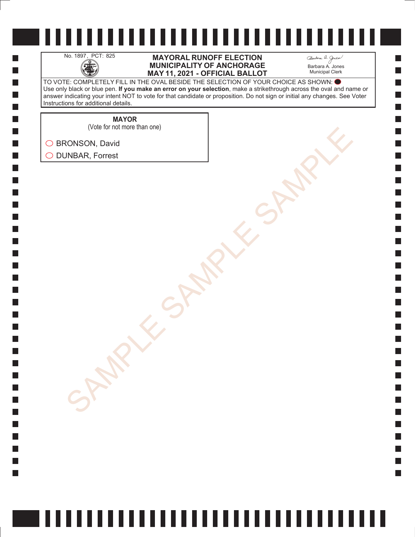H

 $\Box$  $\Box$  $\mathcal{L}_{\mathcal{A}}$  $\Box$ 

### No. 1897, PCT: 825 **MAYORAL RUNOFF ELECTION**<br>MUNICIPALITY OF ANCHORAGE<br>MAY 11. 2021 - OFFICIAL BALLO **MUNICIPALITY OF ANCHORAGE MAY 11, 2021 - OFFICIAL BALLOT**

Barbara A. Jones Municipal Clerk

**College** 

TO VOTE: COMPLETELY FILL IN THE OVAL BESIDE THE SELECTION OF YOUR CHOICE AS SHOWN: Use only black or blue pen. **If you make an error on your selection**, make a strikethrough across the oval and name or answer indicating your intent NOT to vote for that candidate or proposition. Do not sign or initial any changes. See Voter Instructions for additional details.

> **MAYOR** (Vote for not more than one)

SONSON, David<br>AMBAR, Forrest<br>SAMPLE SAMPLE SAMPLE SAMPLE

◯ BRONSON, David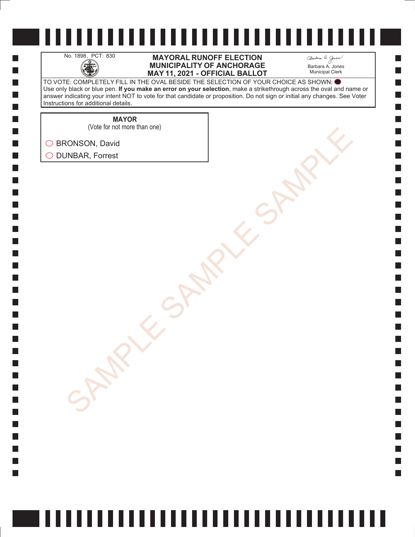H

 $\Box$  $\Box$  $\mathcal{L}_{\mathcal{A}}$  $\Box$ 

#### No. 1898, PCT: 830 **MAYORAL RUNOFF ELECTION**<br>MUNICIPALITY OF ANCHORAGE<br>MAY 11. 2021 - OFFICIAL BALLO **MUNICIPALITY OF ANCHORAGE MAY 11, 2021 - OFFICIAL BALLOT**

Barbara A. Jones Municipal Clerk

**College** 

TO VOTE: COMPLETELY FILL IN THE OVAL BESIDE THE SELECTION OF YOUR CHOICE AS SHOWN: Use only black or blue pen. **If you make an error on your selection**, make a strikethrough across the oval and name or answer indicating your intent NOT to vote for that candidate or proposition. Do not sign or initial any changes. See Voter Instructions for additional details.

**MAYOR**

SONSON, David<br>AMBAR, Forrest<br>SAMPLE SAMPLE SAMPLE SAMPLE (Vote for not more than one)

◯ BRONSON, David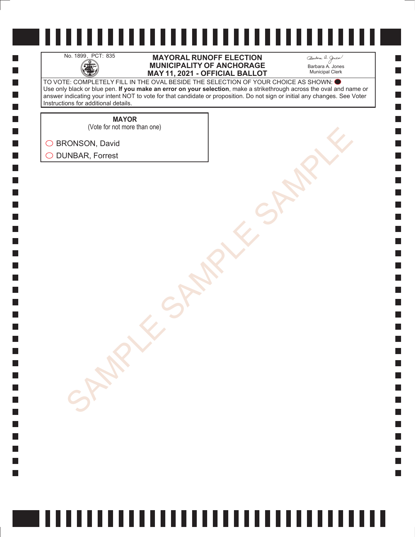H

 $\Box$  $\Box$  $\mathcal{L}_{\mathcal{A}}$  $\Box$ 

### No. 1899, PCT: 835 **MAYORAL RUNOFF ELECTION**<br>MUNICIPALITY OF ANCHORAGE<br>MAY 11. 2021 - OFFICIAL BALLO **MUNICIPALITY OF ANCHORAGE MAY 11, 2021 - OFFICIAL BALLOT**

Barbara A. Jones Municipal Clerk

**College** 

TO VOTE: COMPLETELY FILL IN THE OVAL BESIDE THE SELECTION OF YOUR CHOICE AS SHOWN: Use only black or blue pen. **If you make an error on your selection**, make a strikethrough across the oval and name or answer indicating your intent NOT to vote for that candidate or proposition. Do not sign or initial any changes. See Voter Instructions for additional details.

**MAYOR**

(Vote for not more than one)

SONSON, David<br>AMBAR, Forrest<br>SAMPLE SAMPLE SAMPLE SAMPLE ◯ BRONSON, David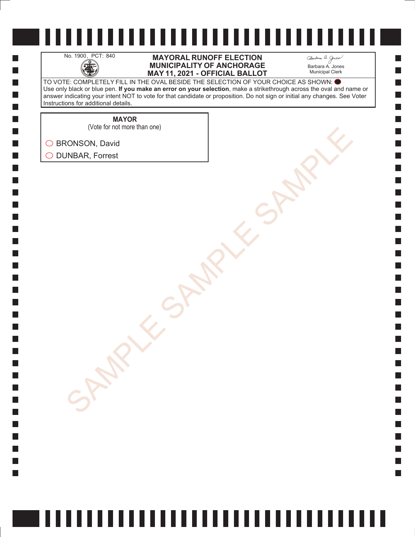H

 $\Box$  $\Box$  $\mathcal{L}_{\mathcal{A}}$  $\Box$ 

#### No. 1900, PCT: 840 **MAYORAL RUNOFF ELECTION**<br>MUNICIPALITY OF ANCHORAGE<br>MAY 11. 2021 - OFFICIAL BALLO **MUNICIPALITY OF ANCHORAGE MAY 11, 2021 - OFFICIAL BALLOT**

Barbara A. Jones Municipal Clerk

**College** 

TO VOTE: COMPLETELY FILL IN THE OVAL BESIDE THE SELECTION OF YOUR CHOICE AS SHOWN: Use only black or blue pen. **If you make an error on your selection**, make a strikethrough across the oval and name or answer indicating your intent NOT to vote for that candidate or proposition. Do not sign or initial any changes. See Voter Instructions for additional details.

**MAYOR**

SONSON, David<br>AMBAR, Forrest<br>SAMPLE SAMPLE SAMPLE SAMPLE (Vote for not more than one)

◯ BRONSON, David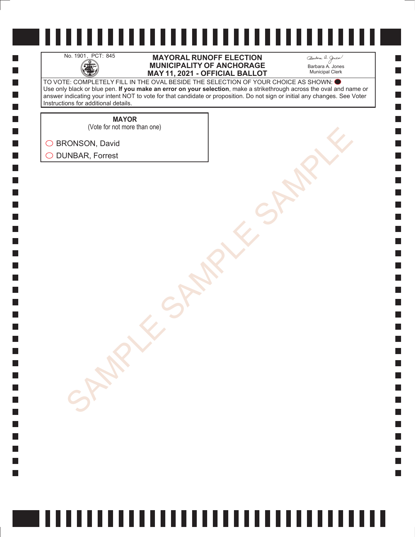H

 $\Box$  $\Box$  $\mathcal{L}_{\mathcal{A}}$  $\Box$ 

#### No. 1901, PCT: 845 **MAYORAL RUNOFF ELECTION**<br>MUNICIPALITY OF ANCHORAGE<br>MAY 11. 2021 - OFFICIAL BALLO **MUNICIPALITY OF ANCHORAGE MAY 11, 2021 - OFFICIAL BALLOT**

Barbara A. Jones Municipal Clerk

**College** 

TO VOTE: COMPLETELY FILL IN THE OVAL BESIDE THE SELECTION OF YOUR CHOICE AS SHOWN: Use only black or blue pen. **If you make an error on your selection**, make a strikethrough across the oval and name or answer indicating your intent NOT to vote for that candidate or proposition. Do not sign or initial any changes. See Voter Instructions for additional details.

**MAYOR**

SONSON, David<br>AMBAR, Forrest<br>SAMPLE SAMPLE SAMPLE SAMPLE (Vote for not more than one)

◯ BRONSON, David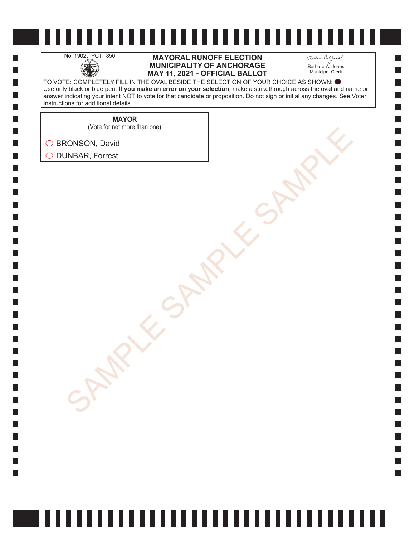H

 $\Box$  $\Box$  $\mathcal{L}_{\mathcal{A}}$  $\Box$ 

### No. 1902, PCT: 850 **MAYORAL RUNOFF ELECTION**<br>MUNICIPALITY OF ANCHORAGE<br>MAY 11. 2021 - OFFICIAL BALLO **MUNICIPALITY OF ANCHORAGE MAY 11, 2021 - OFFICIAL BALLOT**

Barbara A. Jones Municipal Clerk

**College** 

TO VOTE: COMPLETELY FILL IN THE OVAL BESIDE THE SELECTION OF YOUR CHOICE AS SHOWN: Use only black or blue pen. **If you make an error on your selection**, make a strikethrough across the oval and name or answer indicating your intent NOT to vote for that candidate or proposition. Do not sign or initial any changes. See Voter Instructions for additional details.

**MAYOR**

SONSON, David<br>AMBAR, Forrest<br>SAMPLE SAMPLE SAMPLE SAMPLE (Vote for not more than one)

◯ BRONSON, David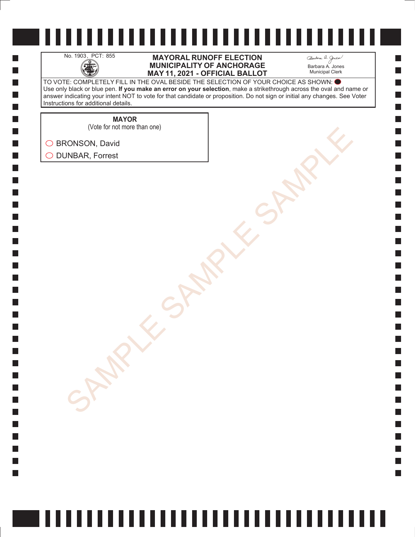H

 $\Box$  $\Box$  $\mathcal{L}_{\mathcal{A}}$  $\Box$ 

#### No. 1903, PCT: 855 **MAYORAL RUNOFF ELECTION**<br>MUNICIPALITY OF ANCHORAGE<br>MAY 11. 2021 - OFFICIAL BALLO **MUNICIPALITY OF ANCHORAGE MAY 11, 2021 - OFFICIAL BALLOT**

Barbara A. Jones Municipal Clerk

**College** 

TO VOTE: COMPLETELY FILL IN THE OVAL BESIDE THE SELECTION OF YOUR CHOICE AS SHOWN: Use only black or blue pen. **If you make an error on your selection**, make a strikethrough across the oval and name or answer indicating your intent NOT to vote for that candidate or proposition. Do not sign or initial any changes. See Voter Instructions for additional details.

**MAYOR**

SONSON, David<br>AMBAR, Forrest<br>SAMPLE SAMPLE SAMPLE SAMPLE (Vote for not more than one)

◯ BRONSON, David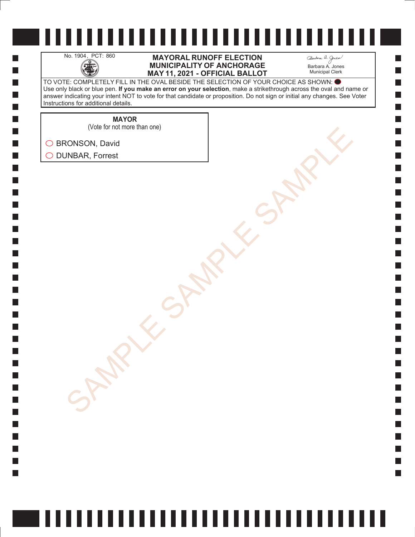H

 $\Box$  $\Box$  $\mathcal{L}_{\mathcal{A}}$  $\Box$ 

#### No. 1904, PCT: 860 **MAYORAL RUNOFF ELECTION**<br>MUNICIPALITY OF ANCHORAGE<br>MAY 11. 2021 - OFFICIAL BALLO **MUNICIPALITY OF ANCHORAGE MAY 11, 2021 - OFFICIAL BALLOT**

Barbara A. Jones Municipal Clerk

**College** 

TO VOTE: COMPLETELY FILL IN THE OVAL BESIDE THE SELECTION OF YOUR CHOICE AS SHOWN: Use only black or blue pen. **If you make an error on your selection**, make a strikethrough across the oval and name or answer indicating your intent NOT to vote for that candidate or proposition. Do not sign or initial any changes. See Voter Instructions for additional details.

**MAYOR**

(Vote for not more than one)

SONSON, David<br>AMBAR, Forrest<br>SAMPLE SAMPLE SAMPLE SAMPLE ◯ BRONSON, David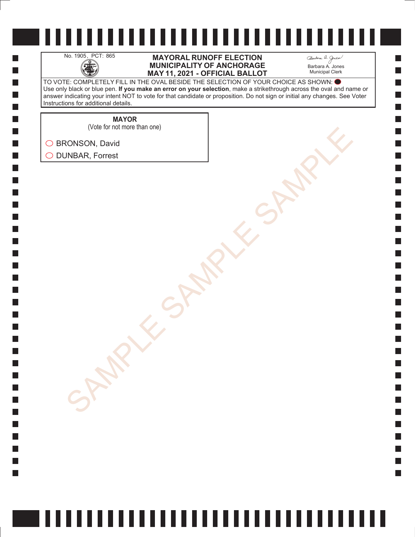H

 $\Box$  $\Box$  $\mathcal{L}_{\mathcal{A}}$  $\Box$ 

#### No. 1905, PCT: 865 **MAYORAL RUNOFF ELECTION**<br>MUNICIPALITY OF ANCHORAGE<br>MAY 11. 2021 - OFFICIAL BALLO **MUNICIPALITY OF ANCHORAGE MAY 11, 2021 - OFFICIAL BALLOT**

Barbara A. Jones Municipal Clerk

**College** 

TO VOTE: COMPLETELY FILL IN THE OVAL BESIDE THE SELECTION OF YOUR CHOICE AS SHOWN: Use only black or blue pen. **If you make an error on your selection**, make a strikethrough across the oval and name or answer indicating your intent NOT to vote for that candidate or proposition. Do not sign or initial any changes. See Voter Instructions for additional details.

**MAYOR**

SONSON, David<br>AMBAR, Forrest<br>SAMPLE SAMPLE SAMPLE SAMPLE (Vote for not more than one)

◯ BRONSON, David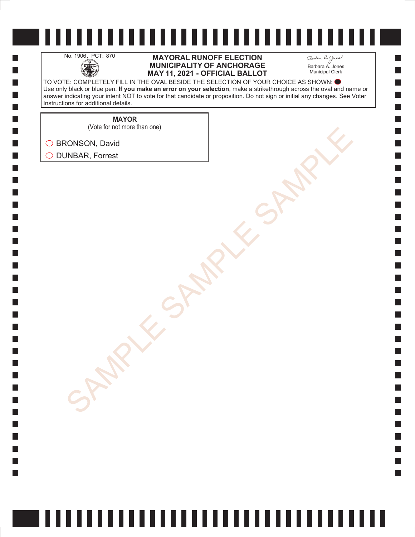H

 $\Box$  $\Box$  $\mathcal{L}_{\mathcal{A}}$  $\Box$ 

#### No. 1906, PCT: 870 **MAYORAL RUNOFF ELECTION**<br>MUNICIPALITY OF ANCHORAGE<br>MAY 11. 2021 - OFFICIAL BALLO **MUNICIPALITY OF ANCHORAGE MAY 11, 2021 - OFFICIAL BALLOT**

Barbara A. Jones Municipal Clerk

**College** 

TO VOTE: COMPLETELY FILL IN THE OVAL BESIDE THE SELECTION OF YOUR CHOICE AS SHOWN: Use only black or blue pen. **If you make an error on your selection**, make a strikethrough across the oval and name or answer indicating your intent NOT to vote for that candidate or proposition. Do not sign or initial any changes. See Voter Instructions for additional details.

**MAYOR**

(Vote for not more than one)

SONSON, David<br>AMBAR, Forrest<br>SAMPLE SAMPLE SAMPLE SAMPLE ◯ BRONSON, David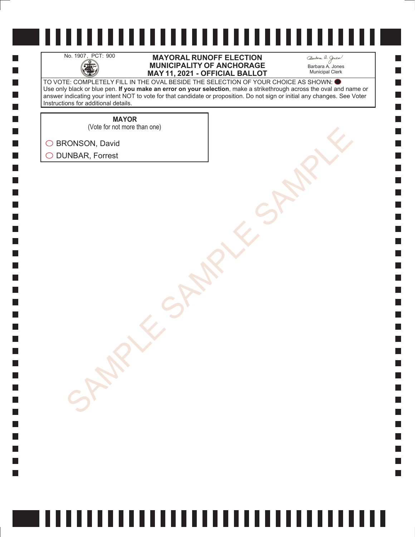H

 $\Box$  $\Box$  $\mathcal{L}_{\mathcal{A}}$  $\Box$ 

### No. 1907, PCT: 900 **MAYORAL RUNOFF ELECTION**<br>MUNICIPALITY OF ANCHORAGE<br>MAY 11. 2021 - OFFICIAL BALLO **MUNICIPALITY OF ANCHORAGE MAY 11, 2021 - OFFICIAL BALLOT**

Barbara A. Jones Municipal Clerk

**College** 

TO VOTE: COMPLETELY FILL IN THE OVAL BESIDE THE SELECTION OF YOUR CHOICE AS SHOWN: Use only black or blue pen. **If you make an error on your selection**, make a strikethrough across the oval and name or answer indicating your intent NOT to vote for that candidate or proposition. Do not sign or initial any changes. See Voter Instructions for additional details.

**MAYOR**

SONSON, David<br>AMBAR, Forrest<br>SAMPLE SAMPLE SAMPLE SAMPLE (Vote for not more than one)

◯ BRONSON, David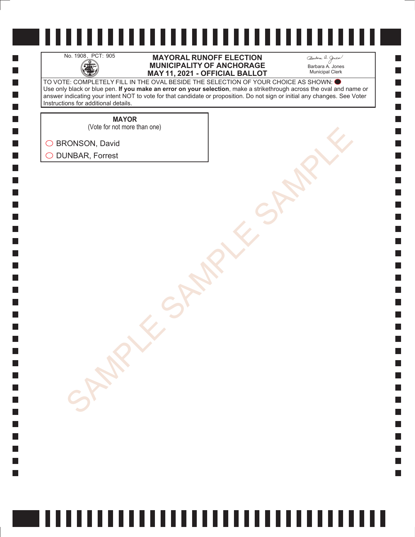H

 $\Box$  $\Box$  $\mathcal{L}_{\mathcal{A}}$  $\Box$ 

### No. 1908, PCT: 905 **MAYORAL RUNOFF ELECTION**<br>MUNICIPALITY OF ANCHORAGE<br>MAY 11. 2021 - OFFICIAL BALLO **MUNICIPALITY OF ANCHORAGE MAY 11, 2021 - OFFICIAL BALLOT**

Barbara A. Jones Municipal Clerk

**College** 

TO VOTE: COMPLETELY FILL IN THE OVAL BESIDE THE SELECTION OF YOUR CHOICE AS SHOWN: Use only black or blue pen. **If you make an error on your selection**, make a strikethrough across the oval and name or answer indicating your intent NOT to vote for that candidate or proposition. Do not sign or initial any changes. See Voter Instructions for additional details.

**MAYOR**

SONSON, David<br>AMBAR, Forrest<br>SAMPLE SAMPLE SAMPLE SAMPLE (Vote for not more than one)

◯ BRONSON, David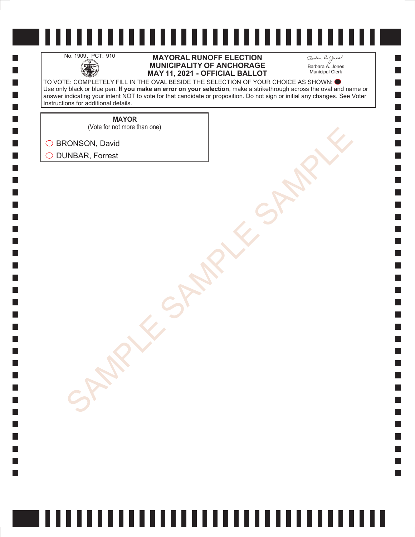

H

 $\Box$  $\Box$  $\mathcal{L}_{\mathcal{A}}$  $\Box$ 

#### No. 1909, PCT: 910 **MAYORAL RUNOFF ELECTION**<br>MUNICIPALITY OF ANCHORAGE<br>MAY 11. 2021 - OFFICIAL BALLO **MUNICIPALITY OF ANCHORAGE MAY 11, 2021 - OFFICIAL BALLOT**

Barbara A. Jones Municipal Clerk

**College** 

TO VOTE: COMPLETELY FILL IN THE OVAL BESIDE THE SELECTION OF YOUR CHOICE AS SHOWN: Use only black or blue pen. **If you make an error on your selection**, make a strikethrough across the oval and name or answer indicating your intent NOT to vote for that candidate or proposition. Do not sign or initial any changes. See Voter Instructions for additional details.

**MAYOR**

SONSON, David<br>AMBAR, Forrest<br>SAMPLE SAMPLE SAMPLE SAMPLE (Vote for not more than one)

◯ BRONSON, David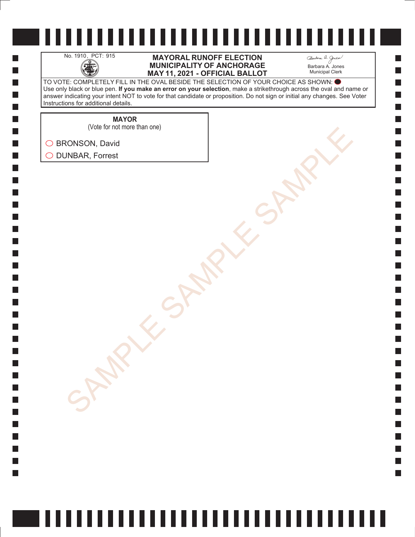H

 $\Box$  $\Box$  $\mathcal{L}_{\mathcal{A}}$  $\Box$ 

### No. 1910, PCT: 915 **MAYORAL RUNOFF ELECTION**<br>MUNICIPALITY OF ANCHORAGE<br>MAY 11. 2021 - OFFICIAL BALLO **MUNICIPALITY OF ANCHORAGE MAY 11, 2021 - OFFICIAL BALLOT**

Barbara A. Jones Municipal Clerk

**College** 

TO VOTE: COMPLETELY FILL IN THE OVAL BESIDE THE SELECTION OF YOUR CHOICE AS SHOWN: Use only black or blue pen. **If you make an error on your selection**, make a strikethrough across the oval and name or answer indicating your intent NOT to vote for that candidate or proposition. Do not sign or initial any changes. See Voter Instructions for additional details.

**MAYOR**

(Vote for not more than one)

SONSON, David<br>AMBAR, Forrest<br>SAMPLE SAMPLE SAMPLE SAMPLE ◯ BRONSON, David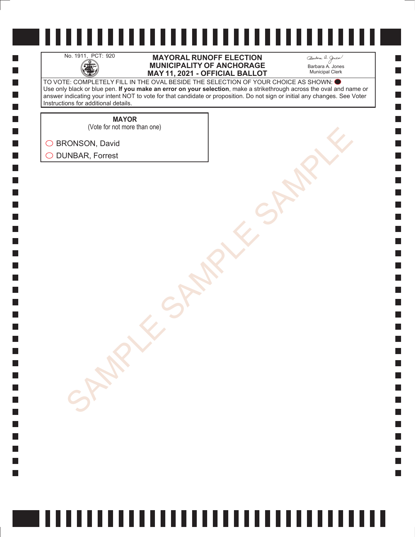H

 $\Box$  $\Box$  $\mathcal{L}_{\mathcal{A}}$  $\Box$ 

### No. 1911, PCT: 920 **MAYORAL RUNOFF ELECTION**<br>MUNICIPALITY OF ANCHORAGE<br>MAY 11. 2021 - OFFICIAL BALLO **MUNICIPALITY OF ANCHORAGE MAY 11, 2021 - OFFICIAL BALLOT**

Barbara A. Jones Municipal Clerk

**College** 

TO VOTE: COMPLETELY FILL IN THE OVAL BESIDE THE SELECTION OF YOUR CHOICE AS SHOWN: Use only black or blue pen. **If you make an error on your selection**, make a strikethrough across the oval and name or answer indicating your intent NOT to vote for that candidate or proposition. Do not sign or initial any changes. See Voter Instructions for additional details.

**MAYOR**

SONSON, David<br>AMBAR, Forrest<br>SAMPLE SAMPLE SAMPLE SAMPLE (Vote for not more than one)

◯ BRONSON, David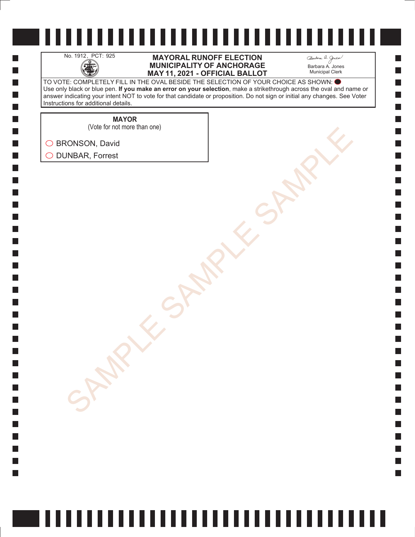H

 $\Box$  $\Box$  $\mathcal{L}_{\mathcal{A}}$  $\Box$ 

### No. 1912, PCT: 925 **MAYORAL RUNOFF ELECTION**<br>MUNICIPALITY OF ANCHORAGE<br>MAY 11. 2021 - OFFICIAL BALLO **MUNICIPALITY OF ANCHORAGE MAY 11, 2021 - OFFICIAL BALLOT**

Barbara A. Jones Municipal Clerk

**College** 

TO VOTE: COMPLETELY FILL IN THE OVAL BESIDE THE SELECTION OF YOUR CHOICE AS SHOWN: Use only black or blue pen. **If you make an error on your selection**, make a strikethrough across the oval and name or answer indicating your intent NOT to vote for that candidate or proposition. Do not sign or initial any changes. See Voter Instructions for additional details.

**MAYOR**

SONSON, David<br>AMBAR, Forrest<br>SAMPLE SAMPLE SAMPLE SAMPLE (Vote for not more than one)

◯ BRONSON, David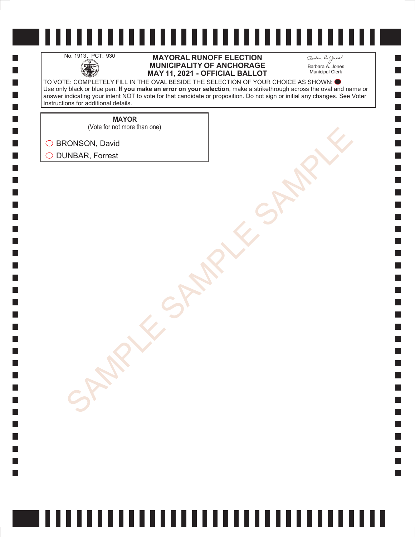H

 $\Box$  $\Box$  $\mathcal{L}_{\mathcal{A}}$  $\Box$ 

### No. 1913, PCT: 930 **MAYORAL RUNOFF ELECTION**<br>MUNICIPALITY OF ANCHORAGE<br>MAY 11. 2021 - OFFICIAL BALLO **MUNICIPALITY OF ANCHORAGE MAY 11, 2021 - OFFICIAL BALLOT**

Barbara A. Jones Municipal Clerk

**College** 

TO VOTE: COMPLETELY FILL IN THE OVAL BESIDE THE SELECTION OF YOUR CHOICE AS SHOWN: Use only black or blue pen. **If you make an error on your selection**, make a strikethrough across the oval and name or answer indicating your intent NOT to vote for that candidate or proposition. Do not sign or initial any changes. See Voter Instructions for additional details.

**MAYOR**

(Vote for not more than one)

SONSON, David<br>AMBAR, Forrest<br>SAMPLE SAMPLE SAMPLE SAMPLE ◯ BRONSON, David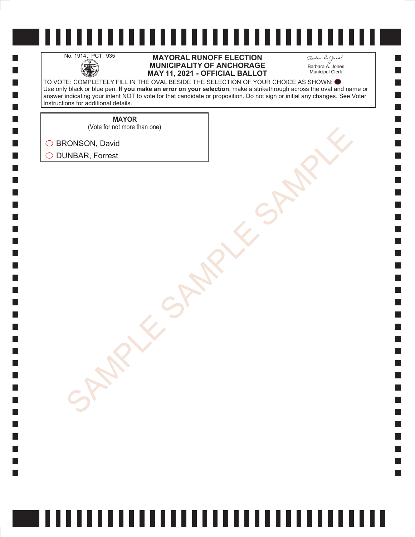H

 $\Box$  $\Box$  $\mathcal{L}_{\mathcal{A}}$  $\Box$ 

### No. 1914, PCT: 935 **MAYORAL RUNOFF ELECTION**<br>MUNICIPALITY OF ANCHORAGE<br>MAY 11. 2021 - OFFICIAL BALLO **MUNICIPALITY OF ANCHORAGE MAY 11, 2021 - OFFICIAL BALLOT**

Barbara A. Jones Municipal Clerk

**College** 

TO VOTE: COMPLETELY FILL IN THE OVAL BESIDE THE SELECTION OF YOUR CHOICE AS SHOWN: Use only black or blue pen. **If you make an error on your selection**, make a strikethrough across the oval and name or answer indicating your intent NOT to vote for that candidate or proposition. Do not sign or initial any changes. See Voter Instructions for additional details.

> **MAYOR** (Vote for not more than one)

SONSON, David<br>AMBAR, Forrest<br>SAMPLE SAMPLE SAMPLE SAMPLE ◯ BRONSON, David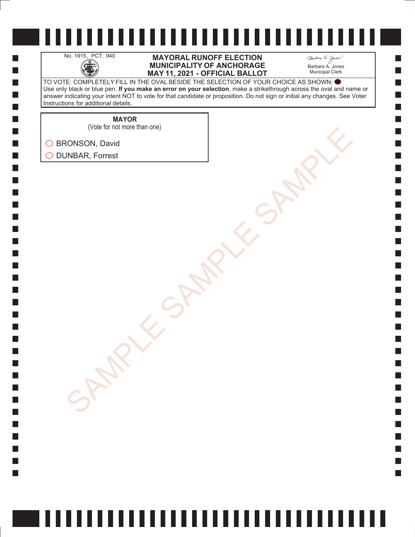H

 $\Box$  $\Box$  $\mathcal{L}_{\mathcal{A}}$  $\Box$ 

### No. 1915, PCT: 940 **MAYORAL RUNOFF ELECTION**<br>MUNICIPALITY OF ANCHORAGE<br>MAY 11. 2021 - OFFICIAL BALLO **MUNICIPALITY OF ANCHORAGE MAY 11, 2021 - OFFICIAL BALLOT**

Barbara A. Jones Municipal Clerk

**College** 

TO VOTE: COMPLETELY FILL IN THE OVAL BESIDE THE SELECTION OF YOUR CHOICE AS SHOWN: Use only black or blue pen. **If you make an error on your selection**, make a strikethrough across the oval and name or answer indicating your intent NOT to vote for that candidate or proposition. Do not sign or initial any changes. See Voter Instructions for additional details.

**MAYOR**

SONSON, David<br>AMBAR, Forrest<br>SAMPLE SAMPLE SAMPLE SAMPLE (Vote for not more than one)

◯ BRONSON, David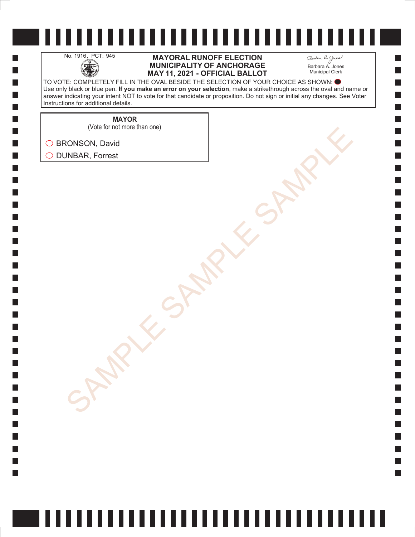H

 $\Box$  $\Box$  $\mathcal{L}_{\mathcal{A}}$  $\Box$ 

### No. 1916, PCT: 945 **MAYORAL RUNOFF ELECTION**<br>MUNICIPALITY OF ANCHORAGE<br>MAY 11. 2021 - OFFICIAL BALLO **MUNICIPALITY OF ANCHORAGE MAY 11, 2021 - OFFICIAL BALLOT**

Barbara A. Jones Municipal Clerk

**College** 

TO VOTE: COMPLETELY FILL IN THE OVAL BESIDE THE SELECTION OF YOUR CHOICE AS SHOWN: Use only black or blue pen. **If you make an error on your selection**, make a strikethrough across the oval and name or answer indicating your intent NOT to vote for that candidate or proposition. Do not sign or initial any changes. See Voter Instructions for additional details.

> **MAYOR** (Vote for not more than one)

SONSON, David<br>AMBAR, Forrest<br>SAMPLE SAMPLE SAMPLE SAMPLE ◯ BRONSON, David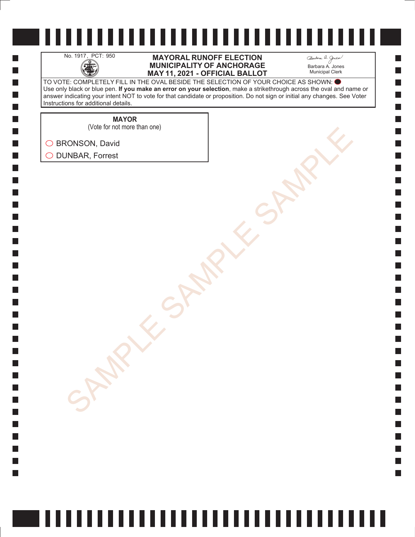H

 $\Box$  $\Box$  $\mathcal{L}_{\mathcal{A}}$  $\Box$ 

### No. 1917, PCT: 950 **MAYORAL RUNOFF ELECTION**<br>MUNICIPALITY OF ANCHORAGE<br>MAY 11. 2021 - OFFICIAL BALLO **MUNICIPALITY OF ANCHORAGE MAY 11, 2021 - OFFICIAL BALLOT**

Barbara A. Jones Municipal Clerk

**College** 

TO VOTE: COMPLETELY FILL IN THE OVAL BESIDE THE SELECTION OF YOUR CHOICE AS SHOWN: Use only black or blue pen. **If you make an error on your selection**, make a strikethrough across the oval and name or answer indicating your intent NOT to vote for that candidate or proposition. Do not sign or initial any changes. See Voter Instructions for additional details.

**MAYOR**

(Vote for not more than one)

SONSON, David<br>AMBAR, Forrest<br>SAMPLE SAMPLE SAMPLE SAMPLE ◯ BRONSON, David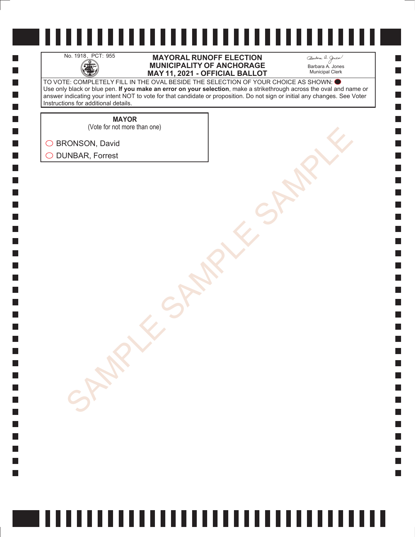H

 $\Box$  $\Box$  $\mathcal{L}_{\mathcal{A}}$  $\Box$ 

### No. 1918, PCT: 955 **MAYORAL RUNOFF ELECTION**<br>MUNICIPALITY OF ANCHORAGE<br>MAY 11. 2021 - OFFICIAL BALLO **MUNICIPALITY OF ANCHORAGE MAY 11, 2021 - OFFICIAL BALLOT**

Barbara A. Jones Municipal Clerk

**College** 

TO VOTE: COMPLETELY FILL IN THE OVAL BESIDE THE SELECTION OF YOUR CHOICE AS SHOWN: Use only black or blue pen. **If you make an error on your selection**, make a strikethrough across the oval and name or answer indicating your intent NOT to vote for that candidate or proposition. Do not sign or initial any changes. See Voter Instructions for additional details.

> **MAYOR** (Vote for not more than one)

SONSON, David<br>AMBAR, Forrest<br>SAMPLE SAMPLE SAMPLE SAMPLE ◯ BRONSON, David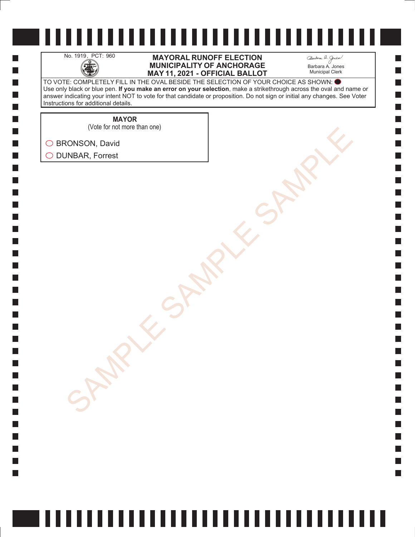H

 $\Box$  $\Box$  $\mathcal{L}_{\mathcal{A}}$  $\Box$ 

### No. 1919, PCT: 960 **MAYORAL RUNOFF ELECTION**<br>MUNICIPALITY OF ANCHORAGE<br>MAY 11. 2021 - OFFICIAL BALLO **MUNICIPALITY OF ANCHORAGE MAY 11, 2021 - OFFICIAL BALLOT**

Barbara A. Jones Municipal Clerk

**College** 

TO VOTE: COMPLETELY FILL IN THE OVAL BESIDE THE SELECTION OF YOUR CHOICE AS SHOWN: Use only black or blue pen. **If you make an error on your selection**, make a strikethrough across the oval and name or answer indicating your intent NOT to vote for that candidate or proposition. Do not sign or initial any changes. See Voter Instructions for additional details.

**MAYOR**

SONSON, David<br>AMBAR, Forrest<br>SAMPLE SAMPLE SAMPLE SAMPLE (Vote for not more than one)

◯ BRONSON, David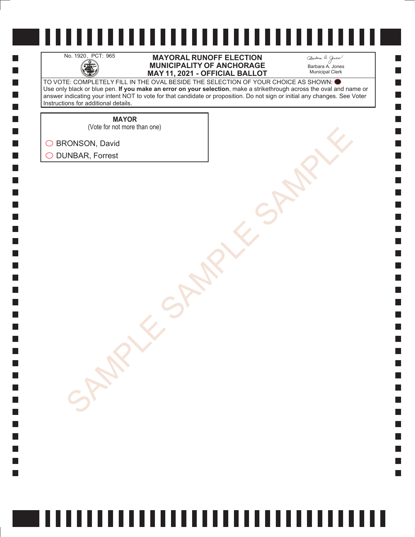H

 $\Box$  $\Box$  $\mathcal{L}_{\mathcal{A}}$  $\Box$ 

### No. 1920, PCT: 965 **MAYORAL RUNOFF ELECTION**<br>MUNICIPALITY OF ANCHORAGE<br>MAY 11. 2021 - OFFICIAL BALLO **MUNICIPALITY OF ANCHORAGE MAY 11, 2021 - OFFICIAL BALLOT**

Barbara A. Jones Municipal Clerk

**College** 

TO VOTE: COMPLETELY FILL IN THE OVAL BESIDE THE SELECTION OF YOUR CHOICE AS SHOWN: Use only black or blue pen. **If you make an error on your selection**, make a strikethrough across the oval and name or answer indicating your intent NOT to vote for that candidate or proposition. Do not sign or initial any changes. See Voter Instructions for additional details.

**MAYOR**

SONSON, David<br>AMBAR, Forrest<br>SAMPLE SAMPLE SAMPLE SAMPLE (Vote for not more than one)

◯ BRONSON, David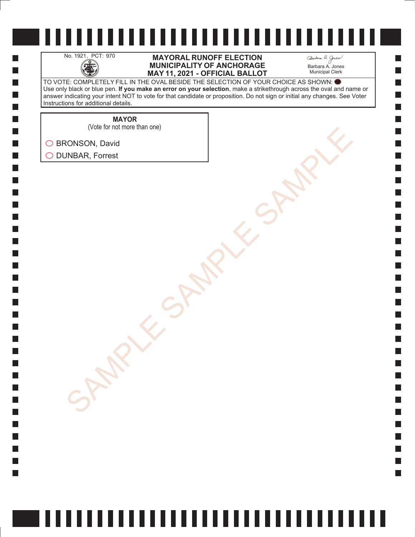H

 $\Box$  $\Box$  $\mathcal{L}_{\mathcal{A}}$  $\Box$ 

### No. 1921, PCT: 970 **MAYORAL RUNOFF ELECTION**<br>MUNICIPALITY OF ANCHORAGE<br>MAY 11. 2021 - OFFICIAL BALLO **MUNICIPALITY OF ANCHORAGE MAY 11, 2021 - OFFICIAL BALLOT**

Barbara A. Jones Municipal Clerk

**College** 

TO VOTE: COMPLETELY FILL IN THE OVAL BESIDE THE SELECTION OF YOUR CHOICE AS SHOWN: Use only black or blue pen. **If you make an error on your selection**, make a strikethrough across the oval and name or answer indicating your intent NOT to vote for that candidate or proposition. Do not sign or initial any changes. See Voter Instructions for additional details.

> **MAYOR** (Vote for not more than one)

SONSON, David<br>AMBAR, Forrest<br>SAMPLE SAMPLE SAMPLE SAMPLE

◯ BRONSON, David